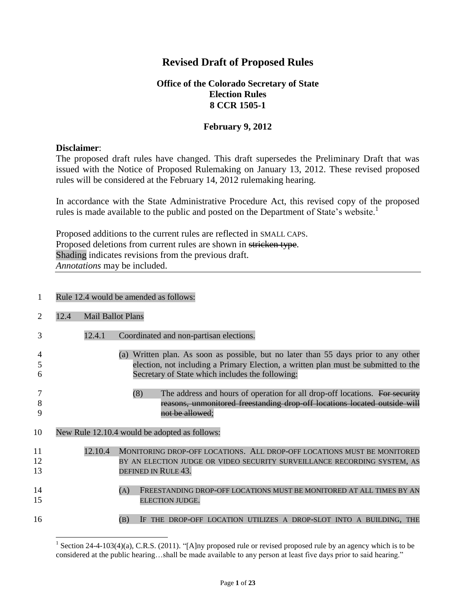# **Revised Draft of Proposed Rules**

## **Office of the Colorado Secretary of State Election Rules 8 CCR 1505-1**

## **February 9, 2012**

### **Disclaimer**:

The proposed draft rules have changed. This draft supersedes the Preliminary Draft that was issued with the Notice of Proposed Rulemaking on January 13, 2012. These revised proposed rules will be considered at the February 14, 2012 rulemaking hearing.

In accordance with the State Administrative Procedure Act, this revised copy of the proposed rules is made available to the public and posted on the Department of State's website.<sup>1</sup>

Proposed additions to the current rules are reflected in SMALL CAPS. Proposed deletions from current rules are shown in stricken type. Shading indicates revisions from the previous draft. *Annotations* may be included.

### 1 Rule 12.4 would be amended as follows:

|                | 12.4 | <b>Mail Ballot Plans</b> |                                                                                                                                                                                                                                |
|----------------|------|--------------------------|--------------------------------------------------------------------------------------------------------------------------------------------------------------------------------------------------------------------------------|
| 3              |      | 12.4.1                   | Coordinated and non-partisan elections.                                                                                                                                                                                        |
| h              |      |                          | (a) Written plan. As soon as possible, but no later than 55 days prior to any other<br>election, not including a Primary Election, a written plan must be submitted to the<br>Secretary of State which includes the following: |
| 8<br>9         |      |                          | (8)<br>The address and hours of operation for all drop-off locations. For security<br>reasons, unmonitored freestanding drop off locations located outside will<br><del>not be allowed</del> :                                 |
|                |      |                          |                                                                                                                                                                                                                                |
| 10             |      |                          | New Rule 12.10.4 would be adopted as follows:                                                                                                                                                                                  |
| 11<br>12<br>13 |      | 12.10.4                  | MONITORING DROP-OFF LOCATIONS. ALL DROP-OFF LOCATIONS MUST BE MONITORED<br>BY AN ELECTION JUDGE OR VIDEO SECURITY SURVEILLANCE RECORDING SYSTEM, AS<br>DEFINED IN RULE 43.                                                     |
| 14<br>15       |      |                          | (A)<br>FREESTANDING DROP-OFF LOCATIONS MUST BE MONITORED AT ALL TIMES BY AN<br>ELECTION JUDGE.                                                                                                                                 |

l <sup>1</sup> Section 24-4-103(4)(a), C.R.S. (2011). "[A]ny proposed rule or revised proposed rule by an agency which is to be considered at the public hearing…shall be made available to any person at least five days prior to said hearing."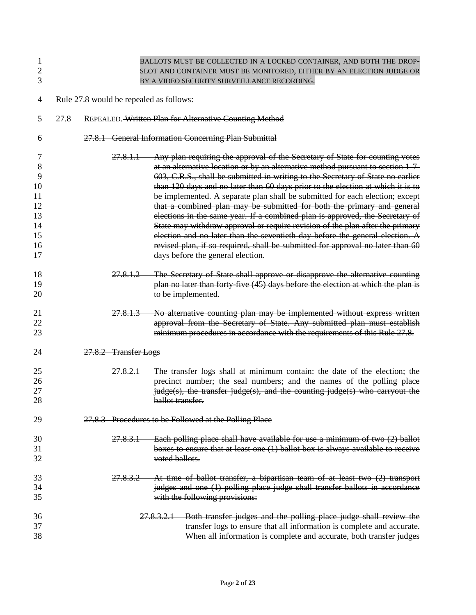| 1<br>$\overline{2}$<br>3                                    |      |                                         | BALLOTS MUST BE COLLECTED IN A LOCKED CONTAINER, AND BOTH THE DROP-<br>SLOT AND CONTAINER MUST BE MONITORED, EITHER BY AN ELECTION JUDGE OR<br>BY A VIDEO SECURITY SURVEILLANCE RECORDING.                                                                                                                                                                                                                                                                                                                                                                                                                                                                                                                                                                                                                                                                              |
|-------------------------------------------------------------|------|-----------------------------------------|-------------------------------------------------------------------------------------------------------------------------------------------------------------------------------------------------------------------------------------------------------------------------------------------------------------------------------------------------------------------------------------------------------------------------------------------------------------------------------------------------------------------------------------------------------------------------------------------------------------------------------------------------------------------------------------------------------------------------------------------------------------------------------------------------------------------------------------------------------------------------|
| 4                                                           |      | Rule 27.8 would be repealed as follows: |                                                                                                                                                                                                                                                                                                                                                                                                                                                                                                                                                                                                                                                                                                                                                                                                                                                                         |
| 5                                                           | 27.8 |                                         | REPEALED. Written Plan for Alternative Counting Method                                                                                                                                                                                                                                                                                                                                                                                                                                                                                                                                                                                                                                                                                                                                                                                                                  |
| 6                                                           |      |                                         | 27.8.1 General Information Concerning Plan Submittal                                                                                                                                                                                                                                                                                                                                                                                                                                                                                                                                                                                                                                                                                                                                                                                                                    |
| 7<br>8<br>9<br>10<br>11<br>12<br>13<br>14<br>15<br>16<br>17 |      | <del>27.8.1.1</del>                     | Any plan requiring the approval of the Secretary of State for counting votes<br>at an alternative location or by an alternative method pursuant to section 1-7-<br>603, C.R.S., shall be submitted in writing to the Secretary of State no earlier<br>than 120 days and no later than 60 days prior to the election at which it is to<br>be implemented. A separate plan shall be submitted for each election; except<br>that a combined plan may be submitted for both the primary and general<br>elections in the same year. If a combined plan is approved, the Secretary of<br>State may withdraw approval or require revision of the plan after the primary<br>election and no later than the seventieth day before the general election. A<br>revised plan, if so required, shall be submitted for approval no later than 60<br>days before the general election. |
| 18<br>19<br>20                                              |      | <del>27.8.1.2</del>                     | The Secretary of State shall approve or disapprove the alternative counting<br>plan no later than forty-five (45) days before the election at which the plan is<br>to be implemented.                                                                                                                                                                                                                                                                                                                                                                                                                                                                                                                                                                                                                                                                                   |
| 21<br>22<br>23                                              |      | <del>27.8.1.3</del>                     | No alternative counting plan may be implemented without express written<br>approval from the Secretary of State. Any submitted plan must establish<br>minimum procedures in accordance with the requirements of this Rule 27.8.                                                                                                                                                                                                                                                                                                                                                                                                                                                                                                                                                                                                                                         |
| 24                                                          |      | 27.8.2 Transfer Logs                    |                                                                                                                                                                                                                                                                                                                                                                                                                                                                                                                                                                                                                                                                                                                                                                                                                                                                         |
| 25<br>26<br>27<br>28                                        |      | 27.8.2.1                                | The transfer logs shall at minimum contain: the date of the election; the<br>precinct number; the seal numbers; and the names of the polling place<br>judge(s), the transfer judge(s), and the counting judge(s) who carryout the<br>ballot transfer.                                                                                                                                                                                                                                                                                                                                                                                                                                                                                                                                                                                                                   |
| 29                                                          |      |                                         | 27.8.3 Procedures to be Followed at the Polling Place                                                                                                                                                                                                                                                                                                                                                                                                                                                                                                                                                                                                                                                                                                                                                                                                                   |
| 30<br>31<br>32                                              |      | <del>27.8.3.1</del>                     | Each polling place shall have available for use a minimum of two (2) ballot<br>boxes to ensure that at least one (1) ballot box is always available to receive<br>voted ballots.                                                                                                                                                                                                                                                                                                                                                                                                                                                                                                                                                                                                                                                                                        |
| 33<br>34<br>35                                              |      | <del>27.8.3.2 -</del>                   | At time of ballot transfer, a bipartisan team of at least two (2) transport<br>judges and one (1) polling place judge shall transfer ballots in accordance<br>with the following provisions:                                                                                                                                                                                                                                                                                                                                                                                                                                                                                                                                                                                                                                                                            |
| 36<br>37<br>38                                              |      |                                         | Both transfer judges and the polling place judge shall review the<br><del>27.8.3.2.1</del><br>transfer logs to ensure that all information is complete and accurate.<br>When all information is complete and accurate, both transfer judges                                                                                                                                                                                                                                                                                                                                                                                                                                                                                                                                                                                                                             |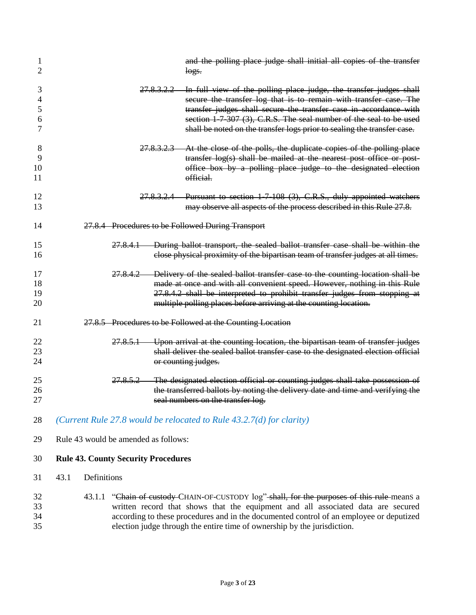| 1<br>2                |                                            | and the polling place judge shall initial all copies of the transfer<br>logs.                                                                                                                                                                                                                                                                                            |
|-----------------------|--------------------------------------------|--------------------------------------------------------------------------------------------------------------------------------------------------------------------------------------------------------------------------------------------------------------------------------------------------------------------------------------------------------------------------|
| 3<br>4<br>5<br>6<br>7 |                                            | 27.8.3.2.2 In full view of the polling place judge, the transfer judges shall<br>secure the transfer log that is to remain with transfer case. The<br>transfer judges shall secure the transfer case in accordance with<br>section 1-7-307 (3), C.R.S. The seal number of the seal to be used<br>shall be noted on the transfer logs prior to sealing the transfer case. |
| 8<br>9<br>10<br>11    |                                            | 27.8.3.2.3 At the close of the polls, the duplicate copies of the polling place<br>transfer log(s) shall be mailed at the nearest post office or post-<br>office box by a polling place judge to the designated election<br>official.                                                                                                                                    |
| 12<br>13              |                                            | 27.8.3.2.4 Pursuant to section 1-7-108 (3), C.R.S., duly appointed watchers<br>may observe all aspects of the process described in this Rule 27.8.                                                                                                                                                                                                                       |
| 14                    |                                            | 27.8.4 Procedures to be Followed During Transport                                                                                                                                                                                                                                                                                                                        |
| 15<br>16              | <del>27.8.4.1</del>                        | During ballot transport, the sealed ballot transfer case shall be within the<br>close physical proximity of the bipartisan team of transfer judges at all times.                                                                                                                                                                                                         |
| 17<br>18<br>19<br>20  | 27.8.4.2                                   | Delivery of the sealed ballot transfer case to the counting location shall be<br>made at once and with all convenient speed. However, nothing in this Rule<br>27.8.4.2 shall be interpreted to prohibit transfer judges from stopping at<br>multiple polling places before arriving at the counting location.                                                            |
| 21                    |                                            | 27.8.5 Procedures to be Followed at the Counting Location                                                                                                                                                                                                                                                                                                                |
| 22<br>23<br>24        |                                            | 27.8.5.1 Upon arrival at the counting location, the bipartisan team of transfer judges<br>shall deliver the sealed ballot transfer case to the designated election official<br>or counting judges.                                                                                                                                                                       |
| 25<br>26<br>27        | <del>27.8.5.2 —</del>                      | The designated election official or counting judges shall take possession of<br>the transferred ballots by noting the delivery date and time and verifying the<br>seal numbers on the transfer log.                                                                                                                                                                      |
| 28                    |                                            | (Current Rule 27.8 would be relocated to Rule $43.2.7(d)$ for clarity)                                                                                                                                                                                                                                                                                                   |
| 29                    | Rule 43 would be amended as follows:       |                                                                                                                                                                                                                                                                                                                                                                          |
| 30                    | <b>Rule 43. County Security Procedures</b> |                                                                                                                                                                                                                                                                                                                                                                          |
| 31                    | Definitions<br>43.1                        |                                                                                                                                                                                                                                                                                                                                                                          |
| 32<br>33<br>34<br>35  | 43.1.1                                     | "Chain of custody-CHAIN-OF-CUSTODY log"-shall, for the purposes of this rule-means a<br>written record that shows that the equipment and all associated data are secured<br>according to these procedures and in the documented control of an employee or deputized<br>election judge through the entire time of ownership by the jurisdiction.                          |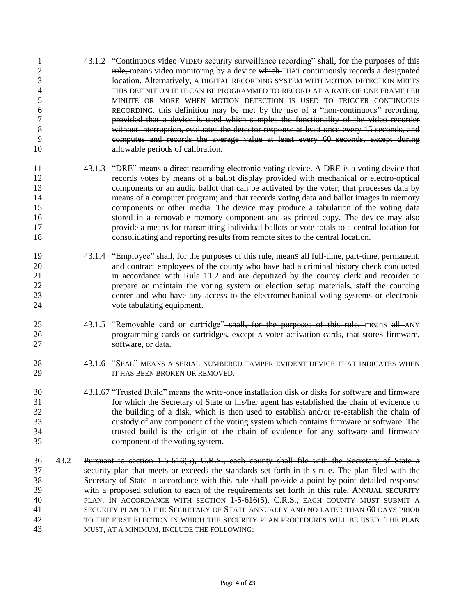43.1.2 "Continuous video VIDEO security surveillance recording" shall, for the purposes of this 2 rule, means video monitoring by a device which THAT continuously records a designated location. Alternatively, A DIGITAL RECORDING SYSTEM WITH MOTION DETECTION MEETS THIS DEFINITION IF IT CAN BE PROGRAMMED TO RECORD AT A RATE OF ONE FRAME PER MINUTE OR MORE WHEN MOTION DETECTION IS USED TO TRIGGER CONTINUOUS RECORDING. this definition may be met by the use of a "non-continuous" recording, provided that a device is used which samples the functionality of the video recorder without interruption, evaluates the detector response at least once every 15 seconds, and computes and records the average value at least every 60 seconds, except during allowable periods of calibration. 43.1.3 "DRE" means a direct recording electronic voting device. A DRE is a voting device that records votes by means of a ballot display provided with mechanical or electro-optical components or an audio ballot that can be activated by the voter; that processes data by means of a computer program; and that records voting data and ballot images in memory components or other media. The device may produce a tabulation of the voting data stored in a removable memory component and as printed copy. The device may also provide a means for transmitting individual ballots or vote totals to a central location for consolidating and reporting results from remote sites to the central location. 19 43.1.4 "Employee" shall, for the purposes of this rule, means all full-time, part-time, permanent, and contract employees of the county who have had a criminal history check conducted in accordance with Rule 11.2 and are deputized by the county clerk and recorder to prepare or maintain the voting system or election setup materials, staff the counting center and who have any access to the electromechanical voting systems or electronic vote tabulating equipment. 25 43.1.5 "Removable card or cartridge" shall, for the purposes of this rule, means all ANY programming cards or cartridges, except A voter activation cards, that storeS firmware, software, or data. 43.1.6 "SEAL" MEANS A SERIAL-NUMBERED TAMPER-EVIDENT DEVICE THAT INDICATES WHEN **IT HAS BEEN BROKEN OR REMOVED.**  43.1.67 "Trusted Build" means the write-once installation disk or disks for software and firmware for which the Secretary of State or his/her agent has established the chain of evidence to the building of a disk, which is then used to establish and/or re-establish the chain of custody of any component of the voting system which contains firmware or software. The trusted build is the origin of the chain of evidence for any software and firmware component of the voting system. 43.2 Pursuant to section 1-5-616(5), C.R.S., each county shall file with the Secretary of State a security plan that meets or exceeds the standards set forth in this rule. The plan filed with the Secretary of State in accordance with this rule shall provide a point by point detailed response 39 with a proposed solution to each of the requirements set forth in this rule. ANNUAL SECURITY PLAN. IN ACCORDANCE WITH SECTION 1-5-616(5), C.R.S., EACH COUNTY MUST SUBMIT A SECURITY PLAN TO THE SECRETARY OF STATE ANNUALLY AND NO LATER THAN 60 DAYS PRIOR TO THE FIRST ELECTION IN WHICH THE SECURITY PLAN PROCEDURES WILL BE USED. THE PLAN MUST, AT A MINIMUM, INCLUDE THE FOLLOWING: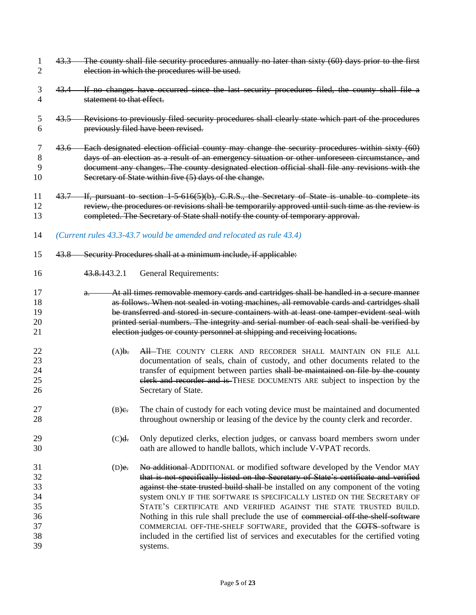| 1<br>2                                             |       | 43.3 The county shall file security procedures annually no later than sixty (60) days prior to the first<br>election in which the procedures will be used.                                                                                                                                                                                                         |                                                                                                                                                                                                                                                                                                                                                                                                                                                                                                                                                                                                                                                                       |  |  |  |  |  |
|----------------------------------------------------|-------|--------------------------------------------------------------------------------------------------------------------------------------------------------------------------------------------------------------------------------------------------------------------------------------------------------------------------------------------------------------------|-----------------------------------------------------------------------------------------------------------------------------------------------------------------------------------------------------------------------------------------------------------------------------------------------------------------------------------------------------------------------------------------------------------------------------------------------------------------------------------------------------------------------------------------------------------------------------------------------------------------------------------------------------------------------|--|--|--|--|--|
| 3<br>4                                             |       | 43.4 If no changes have occurred since the last security procedures filed, the county shall file a<br>statement to that effect.                                                                                                                                                                                                                                    |                                                                                                                                                                                                                                                                                                                                                                                                                                                                                                                                                                                                                                                                       |  |  |  |  |  |
| 5<br>6                                             |       | 43.5 Revisions to previously filed security procedures shall clearly state which part of the procedures<br>previously filed have been revised.                                                                                                                                                                                                                     |                                                                                                                                                                                                                                                                                                                                                                                                                                                                                                                                                                                                                                                                       |  |  |  |  |  |
| 7<br>8<br>9<br>10                                  |       | 43.6 Each designated election official county may change the security procedures within sixty (60)<br>days of an election as a result of an emergency situation or other unforeseen circumstance, and<br>document any changes. The county designated election official shall file any revisions with the<br>Secretary of State within five (5) days of the change. |                                                                                                                                                                                                                                                                                                                                                                                                                                                                                                                                                                                                                                                                       |  |  |  |  |  |
| 11<br>12<br>13                                     |       |                                                                                                                                                                                                                                                                                                                                                                    | 43.7 If, pursuant to section 1-5-616(5)(b), C.R.S., the Secretary of State is unable to complete its<br>review, the procedures or revisions shall be temporarily approved until such time as the review is<br>completed. The Secretary of State shall notify the county of temporary approval.                                                                                                                                                                                                                                                                                                                                                                        |  |  |  |  |  |
| 14                                                 |       |                                                                                                                                                                                                                                                                                                                                                                    | (Current rules 43.3-43.7 would be amended and relocated as rule 43.4)                                                                                                                                                                                                                                                                                                                                                                                                                                                                                                                                                                                                 |  |  |  |  |  |
| 15                                                 | 43.8— |                                                                                                                                                                                                                                                                                                                                                                    | Security Procedures shall at a minimum include, if applicable:                                                                                                                                                                                                                                                                                                                                                                                                                                                                                                                                                                                                        |  |  |  |  |  |
| 16                                                 |       | 43.8.143.2.1                                                                                                                                                                                                                                                                                                                                                       | <b>General Requirements:</b>                                                                                                                                                                                                                                                                                                                                                                                                                                                                                                                                                                                                                                          |  |  |  |  |  |
| 17<br>18<br>19<br>20<br>21                         |       | $a_{\cdot}$                                                                                                                                                                                                                                                                                                                                                        | At all times removable memory cards and cartridges shall be handled in a secure manner<br>as follows. When not sealed in voting machines, all removable cards and cartridges shall<br>be transferred and stored in secure containers with at least one tamper evident seal with<br>printed serial numbers. The integrity and serial number of each seal shall be verified by<br>election judges or county personnel at shipping and receiving locations.                                                                                                                                                                                                              |  |  |  |  |  |
| 22<br>23<br>24<br>25<br>26                         |       | (A) <b>1</b>                                                                                                                                                                                                                                                                                                                                                       | All-THE COUNTY CLERK AND RECORDER SHALL MAINTAIN ON FILE ALL<br>documentation of seals, chain of custody, and other documents related to the<br>transfer of equipment between parties shall be maintained on file by the county<br>elerk and recorder and is THESE DOCUMENTS ARE subject to inspection by the<br>Secretary of State.                                                                                                                                                                                                                                                                                                                                  |  |  |  |  |  |
| 27<br>28                                           |       | $(B)$ e.                                                                                                                                                                                                                                                                                                                                                           | The chain of custody for each voting device must be maintained and documented<br>throughout ownership or leasing of the device by the county clerk and recorder.                                                                                                                                                                                                                                                                                                                                                                                                                                                                                                      |  |  |  |  |  |
| 29<br>30                                           |       | (C) <sub>d</sub>                                                                                                                                                                                                                                                                                                                                                   | Only deputized clerks, election judges, or canvass board members sworn under<br>oath are allowed to handle ballots, which include V-VPAT records.                                                                                                                                                                                                                                                                                                                                                                                                                                                                                                                     |  |  |  |  |  |
| 31<br>32<br>33<br>34<br>35<br>36<br>37<br>38<br>39 |       | $(D)$ e.                                                                                                                                                                                                                                                                                                                                                           | No additional ADDITIONAL or modified software developed by the Vendor MAY<br>that is not specifically listed on the Secretary of State's certificate and verified<br>against the state trusted build shall be installed on any component of the voting<br>system ONLY IF THE SOFTWARE IS SPECIFICALLY LISTED ON THE SECRETARY OF<br>STATE'S CERTIFICATE AND VERIFIED AGAINST THE STATE TRUSTED BUILD.<br>Nothing in this rule shall preclude the use of commercial off the shelf software<br>COMMERCIAL OFF-THE-SHELF SOFTWARE, provided that the COTS-software is<br>included in the certified list of services and executables for the certified voting<br>systems. |  |  |  |  |  |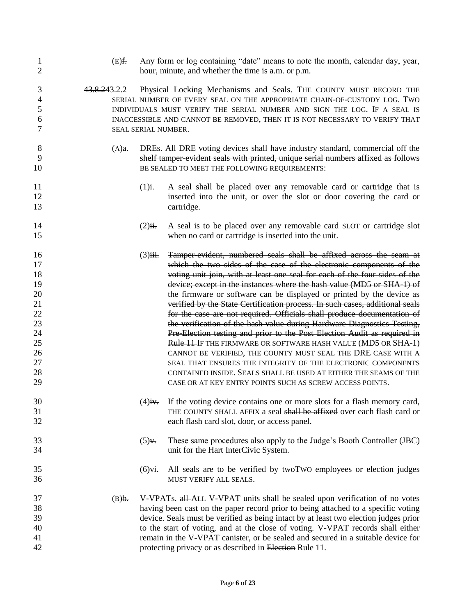| 1<br>$\overline{2}$                                                              | $(E)$ f.     | Any form or log containing "date" means to note the month, calendar day, year,<br>hour, minute, and whether the time is a.m. or p.m.                                                                                                                                                                                            |                                                                                                                                                                                                                                                                                                                                                                                                                                                                                                                                                                                                                                                                                                                                                                                                                                                                                                                                                                                                                               |  |  |
|----------------------------------------------------------------------------------|--------------|---------------------------------------------------------------------------------------------------------------------------------------------------------------------------------------------------------------------------------------------------------------------------------------------------------------------------------|-------------------------------------------------------------------------------------------------------------------------------------------------------------------------------------------------------------------------------------------------------------------------------------------------------------------------------------------------------------------------------------------------------------------------------------------------------------------------------------------------------------------------------------------------------------------------------------------------------------------------------------------------------------------------------------------------------------------------------------------------------------------------------------------------------------------------------------------------------------------------------------------------------------------------------------------------------------------------------------------------------------------------------|--|--|
| 3<br>4<br>5<br>6<br>7                                                            | 43.8.243.2.2 | Physical Locking Mechanisms and Seals. THE COUNTY MUST RECORD THE<br>SERIAL NUMBER OF EVERY SEAL ON THE APPROPRIATE CHAIN-OF-CUSTODY LOG. TWO<br>INDIVIDUALS MUST VERIFY THE SERIAL NUMBER AND SIGN THE LOG. IF A SEAL IS<br>INACCESSIBLE AND CANNOT BE REMOVED, THEN IT IS NOT NECESSARY TO VERIFY THAT<br>SEAL SERIAL NUMBER. |                                                                                                                                                                                                                                                                                                                                                                                                                                                                                                                                                                                                                                                                                                                                                                                                                                                                                                                                                                                                                               |  |  |
| 8<br>9<br>10                                                                     | $(A)$ a.     | DREs. All DRE voting devices shall have industry standard, commercial off the<br>shelf tamper evident seals with printed, unique serial numbers affixed as follows<br>BE SEALED TO MEET THE FOLLOWING REQUIREMENTS:                                                                                                             |                                                                                                                                                                                                                                                                                                                                                                                                                                                                                                                                                                                                                                                                                                                                                                                                                                                                                                                                                                                                                               |  |  |
| 11<br>12<br>13                                                                   |              | $(1)$ i.                                                                                                                                                                                                                                                                                                                        | A seal shall be placed over any removable card or cartridge that is<br>inserted into the unit, or over the slot or door covering the card or<br>cartridge.                                                                                                                                                                                                                                                                                                                                                                                                                                                                                                                                                                                                                                                                                                                                                                                                                                                                    |  |  |
| 14<br>15                                                                         |              | $(2)$ ii.                                                                                                                                                                                                                                                                                                                       | A seal is to be placed over any removable card SLOT or cartridge slot<br>when no card or cartridge is inserted into the unit.                                                                                                                                                                                                                                                                                                                                                                                                                                                                                                                                                                                                                                                                                                                                                                                                                                                                                                 |  |  |
| 16<br>17<br>18<br>19<br>20<br>21<br>22<br>23<br>24<br>25<br>26<br>27<br>28<br>29 |              | $(3)$ iii.                                                                                                                                                                                                                                                                                                                      | Tamper-evident, numbered seals shall be affixed across the seam at<br>which the two sides of the case of the electronic components of the<br>voting unit join, with at least one seal for each of the four sides of the<br>device; except in the instances where the hash value (MD5 or SHA-1) of<br>the firmware or software can be displayed or printed by the device as<br>verified by the State Certification process. In such cases, additional seals<br>for the case are not required. Officials shall produce documentation of<br>the verification of the hash value during Hardware Diagnostics Testing,<br>Pre-Election testing and prior to the Post Election Audit as required in<br>Rule 11 IF THE FIRMWARE OR SOFTWARE HASH VALUE (MD5 OR SHA-1)<br>CANNOT BE VERIFIED, THE COUNTY MUST SEAL THE DRE CASE WITH A<br>SEAL THAT ENSURES THE INTEGRITY OF THE ELECTRONIC COMPONENTS<br>CONTAINED INSIDE. SEALS SHALL BE USED AT EITHER THE SEAMS OF THE<br>CASE OR AT KEY ENTRY POINTS SUCH AS SCREW ACCESS POINTS. |  |  |
| 30<br>31<br>32                                                                   |              |                                                                                                                                                                                                                                                                                                                                 | $(4)$ i. If the voting device contains one or more slots for a flash memory card,<br>THE COUNTY SHALL AFFIX a seal shall be affixed over each flash card or<br>each flash card slot, door, or access panel.                                                                                                                                                                                                                                                                                                                                                                                                                                                                                                                                                                                                                                                                                                                                                                                                                   |  |  |
| 33<br>34                                                                         |              | $(5)y$ .                                                                                                                                                                                                                                                                                                                        | These same procedures also apply to the Judge's Booth Controller (JBC)<br>unit for the Hart InterCivic System.                                                                                                                                                                                                                                                                                                                                                                                                                                                                                                                                                                                                                                                                                                                                                                                                                                                                                                                |  |  |
| 35<br>36                                                                         |              | $(6)$ vi.                                                                                                                                                                                                                                                                                                                       | All seals are to be verified by twoTWO employees or election judges<br>MUST VERIFY ALL SEALS.                                                                                                                                                                                                                                                                                                                                                                                                                                                                                                                                                                                                                                                                                                                                                                                                                                                                                                                                 |  |  |
| 37<br>38<br>39<br>40<br>41<br>42                                                 | (B) <b>.</b> |                                                                                                                                                                                                                                                                                                                                 | V-VPATs. all-ALL V-VPAT units shall be sealed upon verification of no votes<br>having been cast on the paper record prior to being attached to a specific voting<br>device. Seals must be verified as being intact by at least two election judges prior<br>to the start of voting, and at the close of voting. V-VPAT records shall either<br>remain in the V-VPAT canister, or be sealed and secured in a suitable device for<br>protecting privacy or as described in Election Rule 11.                                                                                                                                                                                                                                                                                                                                                                                                                                                                                                                                    |  |  |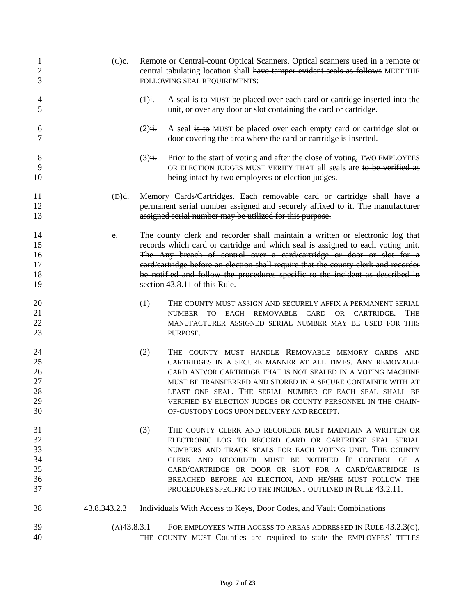| 1<br>$\overline{2}$<br>3               | $(C)$ e.     | Remote or Central-count Optical Scanners. Optical scanners used in a remote or<br>central tabulating location shall have tamper evident seals as follows MEET THE<br>FOLLOWING SEAL REQUIREMENTS: |                                                                                                                                                                                                                                                                                                                                                                                                                                                    |  |
|----------------------------------------|--------------|---------------------------------------------------------------------------------------------------------------------------------------------------------------------------------------------------|----------------------------------------------------------------------------------------------------------------------------------------------------------------------------------------------------------------------------------------------------------------------------------------------------------------------------------------------------------------------------------------------------------------------------------------------------|--|
| 4<br>5                                 |              | $(1)$ i.                                                                                                                                                                                          | A seal is to MUST be placed over each card or cartridge inserted into the<br>unit, or over any door or slot containing the card or cartridge.                                                                                                                                                                                                                                                                                                      |  |
| 6<br>7                                 |              | $(2)$ ii.                                                                                                                                                                                         | A seal is to MUST be placed over each empty card or cartridge slot or<br>door covering the area where the card or cartridge is inserted.                                                                                                                                                                                                                                                                                                           |  |
| 8<br>9<br>10                           |              | $(3)$ ii.                                                                                                                                                                                         | Prior to the start of voting and after the close of voting, TWO EMPLOYEES<br>OR ELECTION JUDGES MUST VERIFY THAT all seals are to be verified as<br>being-intact-by two employees or election judges.                                                                                                                                                                                                                                              |  |
| 11<br>12<br>13                         | (D) <b>d</b> |                                                                                                                                                                                                   | Memory Cards/Cartridges. Each removable card or cartridge shall have a<br>permanent serial number assigned and securely affixed to it. The manufacturer<br>assigned serial number may be utilized for this purpose.                                                                                                                                                                                                                                |  |
| 14<br>15<br>16<br>17<br>18<br>19       | $e-$         |                                                                                                                                                                                                   | The county clerk and recorder shall maintain a written or electronic log that<br>records which card or cartridge and which seal is assigned to each voting unit.<br>The Any breach of control over a card/cartridge or door or slot for a<br>eard/cartridge before an election shall require that the county clerk and recorder<br>be notified and follow the procedures specific to the incident as described in<br>section 43.8.11 of this Rule. |  |
| 20<br>21<br>22<br>23                   |              | (1)                                                                                                                                                                                               | THE COUNTY MUST ASSIGN AND SECURELY AFFIX A PERMANENT SERIAL<br>EACH REMOVABLE CARD<br>OR CARTRIDGE.<br><b>THE</b><br><b>NUMBER</b><br>TO<br>MANUFACTURER ASSIGNED SERIAL NUMBER MAY BE USED FOR THIS<br>PURPOSE.                                                                                                                                                                                                                                  |  |
| 24<br>25<br>26<br>27<br>28<br>29<br>30 |              | (2)                                                                                                                                                                                               | THE COUNTY MUST HANDLE REMOVABLE MEMORY CARDS AND<br>CARTRIDGES IN A SECURE MANNER AT ALL TIMES. ANY REMOVABLE<br>CARD AND/OR CARTRIDGE THAT IS NOT SEALED IN A VOTING MACHINE<br>MUST BE TRANSFERRED AND STORED IN A SECURE CONTAINER WITH AT<br>LEAST ONE SEAL. THE SERIAL NUMBER OF EACH SEAL SHALL BE<br>VERIFIED BY ELECTION JUDGES OR COUNTY PERSONNEL IN THE CHAIN-<br>OF-CUSTODY LOGS UPON DELIVERY AND RECEIPT.                           |  |
| 31<br>32<br>33<br>34<br>35<br>36<br>37 |              | (3)                                                                                                                                                                                               | THE COUNTY CLERK AND RECORDER MUST MAINTAIN A WRITTEN OR<br>ELECTRONIC LOG TO RECORD CARD OR CARTRIDGE SEAL SERIAL<br>NUMBERS AND TRACK SEALS FOR EACH VOTING UNIT. THE COUNTY<br>CLERK AND RECORDER MUST BE NOTIFIED IF CONTROL OF A<br>CARD/CARTRIDGE OR DOOR OR SLOT FOR A CARD/CARTRIDGE IS<br>BREACHED BEFORE AN ELECTION, AND HE/SHE MUST FOLLOW THE<br>PROCEDURES SPECIFIC TO THE INCIDENT OUTLINED IN RULE 43.2.11.                        |  |
| 38                                     | 43.8.343.2.3 |                                                                                                                                                                                                   | Individuals With Access to Keys, Door Codes, and Vault Combinations                                                                                                                                                                                                                                                                                                                                                                                |  |
| 39                                     | (A)43.8.3.1  |                                                                                                                                                                                                   | FOR EMPLOYEES WITH ACCESS TO AREAS ADDRESSED IN RULE 43.2.3(C),                                                                                                                                                                                                                                                                                                                                                                                    |  |
| 40                                     |              |                                                                                                                                                                                                   | THE COUNTY MUST Counties are required to state the EMPLOYEES' TITLES                                                                                                                                                                                                                                                                                                                                                                               |  |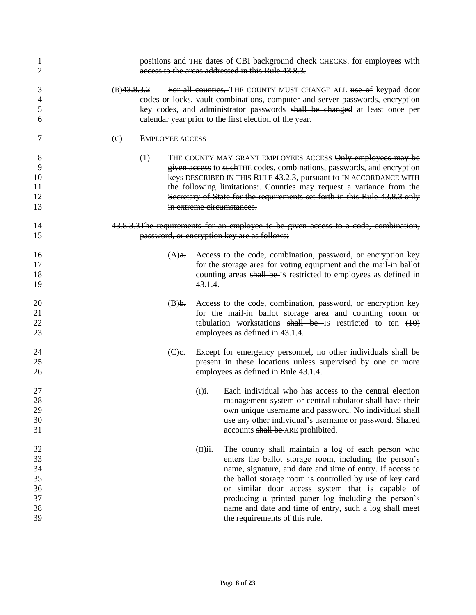| 1<br>2                                       | positions and THE dates of CBI background eheck CHECKS. for employees with<br>access to the areas addressed in this Rule 43.8.3.                                                                                                                                                                                                                                                                                                                            |
|----------------------------------------------|-------------------------------------------------------------------------------------------------------------------------------------------------------------------------------------------------------------------------------------------------------------------------------------------------------------------------------------------------------------------------------------------------------------------------------------------------------------|
| 3<br>4<br>5<br>6                             | (B)43.8.3.2<br>For all counties, THE COUNTY MUST CHANGE ALL use of keypad door<br>codes or locks, vault combinations, computer and server passwords, encryption<br>key codes, and administrator passwords shall be changed at least once per<br>calendar year prior to the first election of the year.                                                                                                                                                      |
| 7                                            | (C)<br><b>EMPLOYEE ACCESS</b>                                                                                                                                                                                                                                                                                                                                                                                                                               |
| 8<br>9<br>10<br>11<br>12<br>13               | (1)<br>THE COUNTY MAY GRANT EMPLOYEES ACCESS Only employees may be<br>given access to such THE codes, combinations, passwords, and encryption<br>keys DESCRIBED IN THIS RULE 43.2.3, pursuant to IN ACCORDANCE WITH<br>the following limitations: Counties may request a variance from the<br>Secretary of State for the requirements set forth in this Rule 43.8.3 only<br>in extreme circumstances.                                                       |
| 14<br>15                                     | 43.8.3.3The requirements for an employee to be given access to a code, combination,<br>password, or encryption key are as follows:                                                                                                                                                                                                                                                                                                                          |
| 16<br>17<br>18<br>19                         | Access to the code, combination, password, or encryption key<br>$(A)$ a.<br>for the storage area for voting equipment and the mail-in ballot<br>counting areas shall be IS restricted to employees as defined in<br>43.1.4.                                                                                                                                                                                                                                 |
| 20<br>21<br>22<br>23                         | Access to the code, combination, password, or encryption key<br>(B) <b>.</b><br>for the mail-in ballot storage area and counting room or<br>tabulation workstations shall be IS restricted to ten $(10)$<br>employees as defined in 43.1.4.                                                                                                                                                                                                                 |
| 24<br>25<br>26                               | $(C)$ e.<br>Except for emergency personnel, no other individuals shall be<br>present in these locations unless supervised by one or more<br>employees as defined in Rule 43.1.4.                                                                                                                                                                                                                                                                            |
| 27<br>28<br>29<br>30<br>31                   | $(I)$ i.<br>Each individual who has access to the central election<br>management system or central tabulator shall have their<br>own unique username and password. No individual shall<br>use any other individual's username or password. Shared<br>accounts shall be ARE prohibited.                                                                                                                                                                      |
| 32<br>33<br>34<br>35<br>36<br>37<br>38<br>39 | The county shall maintain a log of each person who<br>$(II)$ ii.<br>enters the ballot storage room, including the person's<br>name, signature, and date and time of entry. If access to<br>the ballot storage room is controlled by use of key card<br>or similar door access system that is capable of<br>producing a printed paper log including the person's<br>name and date and time of entry, such a log shall meet<br>the requirements of this rule. |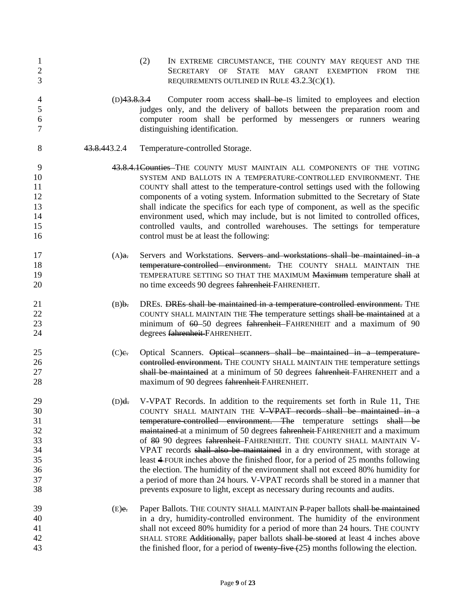| $\mathbf{1}$<br>$\overline{2}$<br>3 |                | (2)<br>IN EXTREME CIRCUMSTANCE, THE COUNTY MAY REQUEST AND THE<br>OF STATE MAY GRANT EXEMPTION FROM<br>SECRETARY<br>THE<br>REQUIREMENTS OUTLINED IN RULE $43.2.3(C)(1)$ . |
|-------------------------------------|----------------|---------------------------------------------------------------------------------------------------------------------------------------------------------------------------|
| 4                                   | $(D)$ 43.8.3.4 | Computer room access shall be IS limited to employees and election                                                                                                        |
| 5                                   |                | judges only, and the delivery of ballots between the preparation room and                                                                                                 |
| 6                                   |                | computer room shall be performed by messengers or runners wearing                                                                                                         |
| 7                                   |                | distinguishing identification.                                                                                                                                            |
| 8                                   | 43.8.443.2.4   | Temperature-controlled Storage.                                                                                                                                           |
| 9                                   |                | 43.8.4.1 Counties THE COUNTY MUST MAINTAIN ALL COMPONENTS OF THE VOTING                                                                                                   |
| 10                                  |                | SYSTEM AND BALLOTS IN A TEMPERATURE-CONTROLLED ENVIRONMENT. THE                                                                                                           |
| 11                                  |                | COUNTY shall attest to the temperature-control settings used with the following                                                                                           |
| 12                                  |                | components of a voting system. Information submitted to the Secretary of State                                                                                            |
| 13                                  |                | shall indicate the specifics for each type of component, as well as the specific                                                                                          |
| 14                                  |                | environment used, which may include, but is not limited to controlled offices,                                                                                            |
| 15                                  |                | controlled vaults, and controlled warehouses. The settings for temperature                                                                                                |
| 16                                  |                | control must be at least the following:                                                                                                                                   |
| 17                                  | $(A)$ a.       | Servers and Workstations. Servers and workstations shall be maintained in a                                                                                               |
| 18                                  |                | temperature controlled environment. THE COUNTY SHALL MAINTAIN THE                                                                                                         |
| 19                                  |                | TEMPERATURE SETTING SO THAT THE MAXIMUM Maximum temperature shall at                                                                                                      |
| 20                                  |                | no time exceeds 90 degrees fahrenheit FAHRENHEIT.                                                                                                                         |
| 21                                  | $(B)$ .        | DREs. DREs shall be maintained in a temperature-controlled environment. THE                                                                                               |
| 22                                  |                | COUNTY SHALL MAINTAIN THE The temperature settings shall be maintained at a                                                                                               |
| 23                                  |                | minimum of 60-50 degrees fahrenheit-FAHRENHEIT and a maximum of 90                                                                                                        |
| 24                                  |                | degrees fahrenheit-FAHRENHEIT.                                                                                                                                            |
| 25                                  | $(C)$ e.       | Optical Scanners. Optical scanners shall be maintained in a temperature-                                                                                                  |
| 26                                  |                | controlled environment. THE COUNTY SHALL MAINTAIN THE temperature settings                                                                                                |
| 27                                  |                | shall be maintained at a minimum of 50 degrees fahrenheit-FAHRENHEIT and a                                                                                                |
| 28                                  |                | maximum of 90 degrees fahrenheit-FAHRENHEIT.                                                                                                                              |
| 29                                  | (D) <b>d</b>   | V-VPAT Records. In addition to the requirements set forth in Rule 11, THE                                                                                                 |
| 30                                  |                | COUNTY SHALL MAINTAIN THE V-VPAT records shall be maintained in a                                                                                                         |
| 31                                  |                | temperature controlled environment. The temperature settings shall be                                                                                                     |
| 32                                  |                | maintained at a minimum of 50 degrees fahrenheit FAHRENHEIT and a maximum                                                                                                 |
| 33                                  |                | of 80 90 degrees fahrenheit-FAHRENHEIT. THE COUNTY SHALL MAINTAIN V-                                                                                                      |
| 34                                  |                | VPAT records shall also be maintained in a dry environment, with storage at                                                                                               |
| 35                                  |                | least 4-FOUR inches above the finished floor, for a period of 25 months following                                                                                         |
| 36                                  |                | the election. The humidity of the environment shall not exceed 80% humidity for                                                                                           |
| 37                                  |                | a period of more than 24 hours. V-VPAT records shall be stored in a manner that                                                                                           |
| 38                                  |                | prevents exposure to light, except as necessary during recounts and audits.                                                                                               |
| 39                                  | $(E)$ e.       | Paper Ballots. THE COUNTY SHALL MAINTAIN P-Paper ballots shall be maintained                                                                                              |
| 40                                  |                | in a dry, humidity-controlled environment. The humidity of the environment                                                                                                |
| 41                                  |                | shall not exceed 80% humidity for a period of more than 24 hours. THE COUNTY                                                                                              |
| 42                                  |                | SHALL STORE Additionally, paper ballots shall be stored at least 4 inches above                                                                                           |
| 43                                  |                | the finished floor, for a period of twenty-five $(25)$ months following the election.                                                                                     |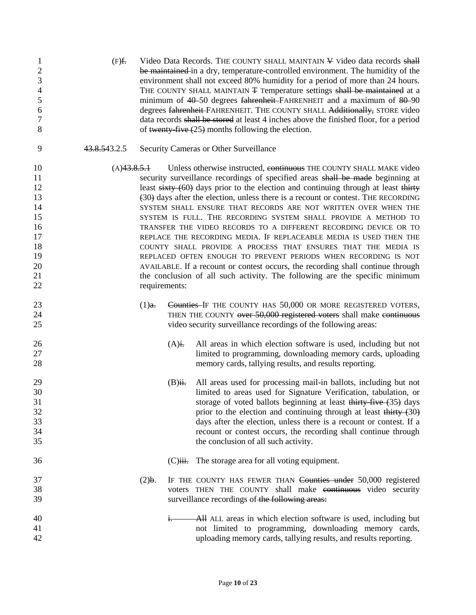| $\mathbf{1}$<br>$\overline{2}$<br>3<br>$\overline{4}$<br>$\mathfrak s$<br>6<br>$\tau$<br>8 | $(F)$ f.     |                              |                       | Video Data Records. THE COUNTY SHALL MAINTAIN ¥ Video data records shall<br>be maintained in a dry, temperature-controlled environment. The humidity of the<br>environment shall not exceed 80% humidity for a period of more than 24 hours.<br>THE COUNTY SHALL MAINTAIN <del>T</del> Temperature settings shall be maintained at a<br>minimum of 40-50 degrees fahrenheit-FAHRENHEIT and a maximum of 80-90<br>degrees fahrenheit-FAHRENHEIT. THE COUNTY SHALL Additionally, STORE video<br>data records shall be stored at least 4 inches above the finished floor, for a period<br>of twenty-five $(25)$ months following the election.                                                                                                                                                                                                                                                                         |
|--------------------------------------------------------------------------------------------|--------------|------------------------------|-----------------------|---------------------------------------------------------------------------------------------------------------------------------------------------------------------------------------------------------------------------------------------------------------------------------------------------------------------------------------------------------------------------------------------------------------------------------------------------------------------------------------------------------------------------------------------------------------------------------------------------------------------------------------------------------------------------------------------------------------------------------------------------------------------------------------------------------------------------------------------------------------------------------------------------------------------|
| 9                                                                                          | 43.8.543.2.5 |                              |                       | Security Cameras or Other Surveillance                                                                                                                                                                                                                                                                                                                                                                                                                                                                                                                                                                                                                                                                                                                                                                                                                                                                              |
| 10<br>11<br>12<br>13<br>14<br>15<br>16<br>17<br>18<br>19<br>20<br>21<br>22                 |              | (A)43.8.5.1<br>requirements: |                       | Unless otherwise instructed, continuous THE COUNTY SHALL MAKE video<br>security surveillance recordings of specified areas shall be made beginning at<br>least sixty (60) days prior to the election and continuing through at least thirty<br>(30) days after the election, unless there is a recount or contest. THE RECORDING<br>SYSTEM SHALL ENSURE THAT RECORDS ARE NOT WRITTEN OVER WHEN THE<br>SYSTEM IS FULL. THE RECORDING SYSTEM SHALL PROVIDE A METHOD TO<br>TRANSFER THE VIDEO RECORDS TO A DIFFERENT RECORDING DEVICE OR TO<br>REPLACE THE RECORDING MEDIA. IF REPLACEABLE MEDIA IS USED THEN THE<br>COUNTY SHALL PROVIDE A PROCESS THAT ENSURES THAT THE MEDIA IS<br>REPLACED OFTEN ENOUGH TO PREVENT PERIODS WHEN RECORDING IS NOT<br>AVAILABLE. If a recount or contest occurs, the recording shall continue through<br>the conclusion of all such activity. The following are the specific minimum |
| 23<br>24<br>25                                                                             |              | (1) <sub>a</sub>             |                       | Counties-IF THE COUNTY HAS 50,000 OR MORE REGISTERED VOTERS,<br>THEN THE COUNTY over 50,000 registered voters shall make continuous<br>video security surveillance recordings of the following areas:                                                                                                                                                                                                                                                                                                                                                                                                                                                                                                                                                                                                                                                                                                               |
| 26<br>27<br>28                                                                             |              |                              | $(A)$ i.              | All areas in which election software is used, including but not<br>limited to programming, downloading memory cards, uploading<br>memory cards, tallying results, and results reporting.                                                                                                                                                                                                                                                                                                                                                                                                                                                                                                                                                                                                                                                                                                                            |
| 29<br>30<br>31<br>32<br>33<br>34<br>35                                                     |              |                              | $(B)$ ii.             | All areas used for processing mail-in ballots, including but not<br>limited to areas used for Signature Verification, tabulation, or<br>storage of voted ballots beginning at least thirty-five (35) days<br>prior to the election and continuing through at least thirty $(30)$<br>days after the election, unless there is a recount or contest. If a<br>recount or contest occurs, the recording shall continue through<br>the conclusion of all such activity.                                                                                                                                                                                                                                                                                                                                                                                                                                                  |
| 36                                                                                         |              |                              | $(C)$ <del>iii.</del> | The storage area for all voting equipment.                                                                                                                                                                                                                                                                                                                                                                                                                                                                                                                                                                                                                                                                                                                                                                                                                                                                          |
| 37<br>38<br>39                                                                             |              | $(2)$ .                      |                       | IF THE COUNTY HAS FEWER THAN Counties under 50,000 registered<br>voters THEN THE COUNTY shall make continuous video security<br>surveillance recordings of the following areas:                                                                                                                                                                                                                                                                                                                                                                                                                                                                                                                                                                                                                                                                                                                                     |
| 40<br>41<br>42                                                                             |              |                              | $\frac{1}{1}$         | All ALL areas in which election software is used, including but<br>not limited to programming, downloading memory cards,<br>uploading memory cards, tallying results, and results reporting.                                                                                                                                                                                                                                                                                                                                                                                                                                                                                                                                                                                                                                                                                                                        |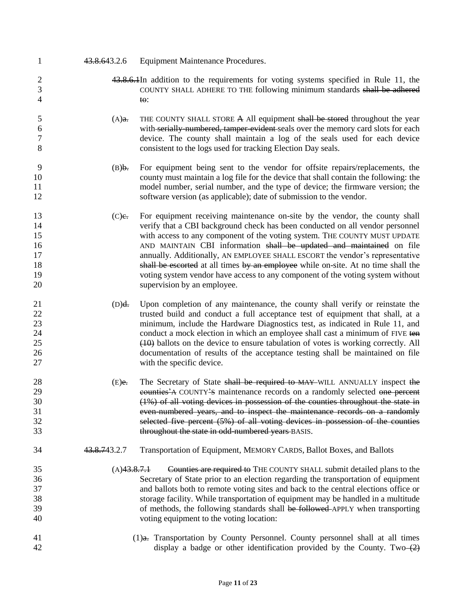- 43.8.643.2.6 Equipment Maintenance Procedures.
- 2 43.8.6.1 4 addition to the requirements for voting systems specified in Rule 11, the COUNTY SHALL ADHERE TO THE following minimum standards shall be adhered 4 to:
- 5 (A)a. THE COUNTY SHALL STORE A All equipment shall be stored throughout the year with serially-numbered, tamper-evident seals over the memory card slots for each device. The county shall maintain a log of the seals used for each device consistent to the logs used for tracking Election Day seals.
- (B)b. For equipment being sent to the vendor for offsite repairs/replacements, the county must maintain a log file for the device that shall contain the following: the model number, serial number, and the type of device; the firmware version; the software version (as applicable); date of submission to the vendor.
- 13 (C)e. For equipment receiving maintenance on-site by the vendor, the county shall verify that a CBI background check has been conducted on all vendor personnel with access to any component of the voting system. THE COUNTY MUST UPDATE 16 AND MAINTAIN CBI information shall be updated and maintained on file annually. Additionally, AN EMPLOYEE SHALL ESCORT the vendor's representative 18 shall be escorted at all times by an employee while on-site. At no time shall the voting system vendor have access to any component of the voting system without supervision by an employee.
- (D)d. Upon completion of any maintenance, the county shall verify or reinstate the 22 trusted build and conduct a full acceptance test of equipment that shall, at a minimum, include the Hardware Diagnostics test, as indicated in Rule 11, and 24 conduct a mock election in which an employee shall cast a minimum of FIVE ten (10) ballots on the device to ensure tabulation of votes is working correctly. All documentation of results of the acceptance testing shall be maintained on file with the specific device.
- 28 (E)e. The Secretary of State shall be required to MAY WILL ANNUALLY inspect the 29 counties<sup>2</sup> country<sup>2</sup> maintenance records on a randomly selected one percent (1%) of all voting devices in possession of the counties throughout the state in even-numbered years, and to inspect the maintenance records on a randomly selected five percent (5%) of all voting devices in possession of the counties throughout the state in odd-numbered years BASIS.
- 

43.8.743.2.7 Transportation of Equipment, MEMORY CARDS, Ballot Boxes, and Ballots

- (A)43.8.7.1 Counties are required to THE COUNTY SHALL submit detailed plans to the Secretary of State prior to an election regarding the transportation of equipment and ballots both to remote voting sites and back to the central elections office or storage facility. While transportation of equipment may be handled in a multitude 39 of methods, the following standards shall be followed APPLY when transporting voting equipment to the voting location:
- (1)a. Transportation by County Personnel. County personnel shall at all times 42 display a badge or other identification provided by the County. Two (2)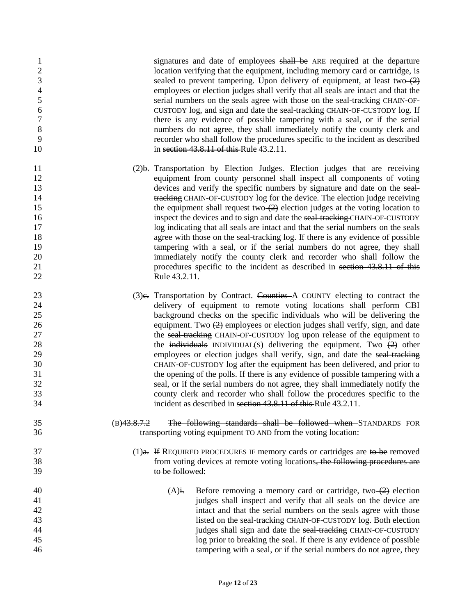| $\mathbf{1}$<br>$\mathbf{2}$<br>$\mathfrak{Z}$ |                | signatures and date of employees shall be ARE required at the departure<br>location verifying that the equipment, including memory card or cartridge, is<br>sealed to prevent tampering. Upon delivery of equipment, at least two $\left(2\right)$ |
|------------------------------------------------|----------------|----------------------------------------------------------------------------------------------------------------------------------------------------------------------------------------------------------------------------------------------------|
| $\overline{4}$                                 |                | employees or election judges shall verify that all seals are intact and that the                                                                                                                                                                   |
| $\mathfrak{S}$                                 |                | serial numbers on the seals agree with those on the seal-tracking-CHAIN-OF-                                                                                                                                                                        |
| 6                                              |                | CUSTODY log, and sign and date the seal-tracking-CHAIN-OF-CUSTODY log. If                                                                                                                                                                          |
| $\boldsymbol{7}$                               |                | there is any evidence of possible tampering with a seal, or if the serial                                                                                                                                                                          |
| 8                                              |                | numbers do not agree, they shall immediately notify the county clerk and                                                                                                                                                                           |
| 9                                              |                | recorder who shall follow the procedures specific to the incident as described                                                                                                                                                                     |
| 10                                             |                | in section 43.8.11 of this Rule 43.2.11.                                                                                                                                                                                                           |
| 11                                             |                | (2) <b>b.</b> Transportation by Election Judges. Election judges that are receiving                                                                                                                                                                |
| 12                                             |                | equipment from county personnel shall inspect all components of voting                                                                                                                                                                             |
| 13                                             |                | devices and verify the specific numbers by signature and date on the seal-                                                                                                                                                                         |
| 14                                             |                | tracking CHAIN-OF-CUSTODY log for the device. The election judge receiving                                                                                                                                                                         |
| 15                                             |                | the equipment shall request two $(2)$ election judges at the voting location to                                                                                                                                                                    |
| 16                                             |                | inspect the devices and to sign and date the seal-tracking-CHAIN-OF-CUSTODY                                                                                                                                                                        |
| 17                                             |                | log indicating that all seals are intact and that the serial numbers on the seals                                                                                                                                                                  |
| 18                                             |                | agree with those on the seal-tracking log. If there is any evidence of possible                                                                                                                                                                    |
| 19                                             |                | tampering with a seal, or if the serial numbers do not agree, they shall                                                                                                                                                                           |
| 20                                             |                | immediately notify the county clerk and recorder who shall follow the                                                                                                                                                                              |
| 21                                             |                | procedures specific to the incident as described in section 43.8.11 of this                                                                                                                                                                        |
| 22                                             |                | Rule 43.2.11.                                                                                                                                                                                                                                      |
| 23                                             |                | (3) e. Transportation by Contract. Counties A COUNTY electing to contract the                                                                                                                                                                      |
| 24                                             |                | delivery of equipment to remote voting locations shall perform CBI                                                                                                                                                                                 |
| 25                                             |                | background checks on the specific individuals who will be delivering the                                                                                                                                                                           |
| 26                                             |                | equipment. Two $(2)$ employees or election judges shall verify, sign, and date                                                                                                                                                                     |
| 27                                             |                | the seal-tracking CHAIN-OF-CUSTODY log upon release of the equipment to                                                                                                                                                                            |
| 28                                             |                | the individuals INDIVIDUAL(S) delivering the equipment. Two $(2)$ other                                                                                                                                                                            |
| 29                                             |                | employees or election judges shall verify, sign, and date the seal-tracking                                                                                                                                                                        |
| 30                                             |                | CHAIN-OF-CUSTODY log after the equipment has been delivered, and prior to                                                                                                                                                                          |
| 31                                             |                | the opening of the polls. If there is any evidence of possible tampering with a                                                                                                                                                                    |
| 32                                             |                | seal, or if the serial numbers do not agree, they shall immediately notify the                                                                                                                                                                     |
| 33                                             |                | county clerk and recorder who shall follow the procedures specific to the                                                                                                                                                                          |
| 34                                             |                | incident as described in section 43.8.11 of this Rule 43.2.11.                                                                                                                                                                                     |
| 35                                             | $(B)$ 43.8.7.2 | The following standards shall be followed when STANDARDS FOR                                                                                                                                                                                       |
| 36                                             |                | transporting voting equipment TO AND from the voting location:                                                                                                                                                                                     |
| 37                                             |                | $(1)$ a. If REQUIRED PROCEDURES IF memory cards or cartridges are to be removed                                                                                                                                                                    |
| 38                                             |                | from voting devices at remote voting locations, the following procedures are                                                                                                                                                                       |
| 39                                             |                | to be followed:                                                                                                                                                                                                                                    |
| 40                                             |                | Before removing a memory card or cartridge, two $\left(2\right)$ election<br>$(A)$ i.                                                                                                                                                              |
| 41                                             |                | judges shall inspect and verify that all seals on the device are                                                                                                                                                                                   |
| 42                                             |                | intact and that the serial numbers on the seals agree with those                                                                                                                                                                                   |
| 43                                             |                | listed on the seal-tracking CHAIN-OF-CUSTODY log. Both election                                                                                                                                                                                    |
| 44                                             |                | judges shall sign and date the seal-tracking CHAIN-OF-CUSTODY                                                                                                                                                                                      |
| 45                                             |                | log prior to breaking the seal. If there is any evidence of possible                                                                                                                                                                               |
| 46                                             |                | tampering with a seal, or if the serial numbers do not agree, they                                                                                                                                                                                 |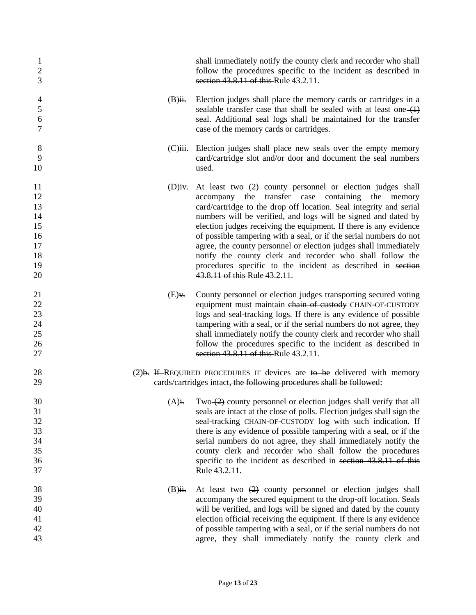| 1<br>$\mathbf{2}$<br>3                                         |           | shall immediately notify the county clerk and recorder who shall<br>follow the procedures specific to the incident as described in<br>section 43.8.11 of this Rule 43.2.11.                                                                                                                                                                                                                                                                                                                                                                                                                                                                             |
|----------------------------------------------------------------|-----------|---------------------------------------------------------------------------------------------------------------------------------------------------------------------------------------------------------------------------------------------------------------------------------------------------------------------------------------------------------------------------------------------------------------------------------------------------------------------------------------------------------------------------------------------------------------------------------------------------------------------------------------------------------|
| $\overline{4}$<br>$\overline{5}$<br>$\boldsymbol{6}$<br>$\tau$ | $(B)$ ii. | Election judges shall place the memory cards or cartridges in a<br>sealable transfer case that shall be sealed with at least one $(1)$<br>seal. Additional seal logs shall be maintained for the transfer<br>case of the memory cards or cartridges.                                                                                                                                                                                                                                                                                                                                                                                                    |
| 8<br>9<br>10                                                   |           | (C) iii. Election judges shall place new seals over the empty memory<br>card/cartridge slot and/or door and document the seal numbers<br>used.                                                                                                                                                                                                                                                                                                                                                                                                                                                                                                          |
| 11<br>12<br>13<br>14<br>15<br>16<br>17<br>18<br>19<br>20       |           | (D)iv. At least two $\left(2\right)$ county personnel or election judges shall<br>accompany the transfer case containing the memory<br>card/cartridge to the drop off location. Seal integrity and serial<br>numbers will be verified, and logs will be signed and dated by<br>election judges receiving the equipment. If there is any evidence<br>of possible tampering with a seal, or if the serial numbers do not<br>agree, the county personnel or election judges shall immediately<br>notify the county clerk and recorder who shall follow the<br>procedures specific to the incident as described in section<br>43.8.11 of this Rule 43.2.11. |
| 21<br>22<br>23<br>24<br>25<br>26<br>27                         | $(E)$ .   | County personnel or election judges transporting secured voting<br>equipment must maintain chain of custody CHAIN-OF-CUSTODY<br>logs-and seal-tracking logs. If there is any evidence of possible<br>tampering with a seal, or if the serial numbers do not agree, they<br>shall immediately notify the county clerk and recorder who shall<br>follow the procedures specific to the incident as described in<br>section 43.8.11 of this Rule 43.2.11.                                                                                                                                                                                                  |
| 28<br>29                                                       |           | $(2)$ b. If REQUIRED PROCEDURES IF devices are to be delivered with memory<br>cards/cartridges intact, the following procedures shall be followed:                                                                                                                                                                                                                                                                                                                                                                                                                                                                                                      |
| 30<br>31<br>32<br>33<br>34<br>35<br>36<br>37                   |           | $(A)$ i. Two- $(2)$ county personnel or election judges shall verify that all<br>seals are intact at the close of polls. Election judges shall sign the<br>seal-tracking-CHAIN-OF-CUSTODY log with such indication. If<br>there is any evidence of possible tampering with a seal, or if the<br>serial numbers do not agree, they shall immediately notify the<br>county clerk and recorder who shall follow the procedures<br>specific to the incident as described in section 43.8.11 of this<br>Rule 43.2.11.                                                                                                                                        |
| 38<br>39<br>40<br>41<br>42<br>43                               | $(B)$ ii. | At least two $(2)$ county personnel or election judges shall<br>accompany the secured equipment to the drop-off location. Seals<br>will be verified, and logs will be signed and dated by the county<br>election official receiving the equipment. If there is any evidence<br>of possible tampering with a seal, or if the serial numbers do not<br>agree, they shall immediately notify the county clerk and                                                                                                                                                                                                                                          |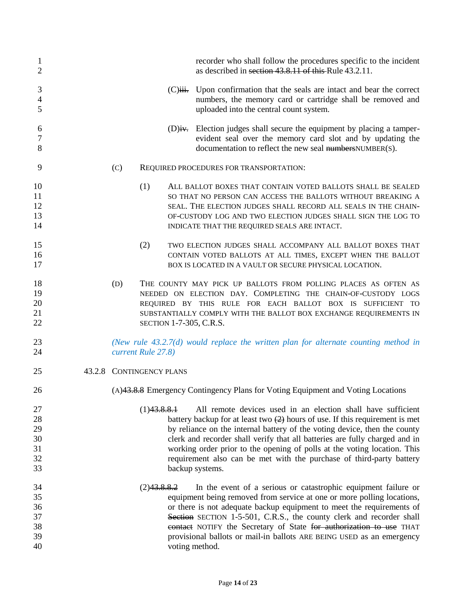| 1<br>$\overline{2}$                    |     |                          | recorder who shall follow the procedures specific to the incident<br>as described in section 43.8.11 of this Rule 43.2.11.                                                                                                                                                                                                                                                                                                                                                        |
|----------------------------------------|-----|--------------------------|-----------------------------------------------------------------------------------------------------------------------------------------------------------------------------------------------------------------------------------------------------------------------------------------------------------------------------------------------------------------------------------------------------------------------------------------------------------------------------------|
| 3<br>$\overline{4}$<br>5               |     |                          | (C) iii. Upon confirmation that the seals are intact and bear the correct<br>numbers, the memory card or cartridge shall be removed and<br>uploaded into the central count system.                                                                                                                                                                                                                                                                                                |
| 6<br>7<br>8                            |     |                          | $(D)$ iv. Election judges shall secure the equipment by placing a tamper-<br>evident seal over the memory card slot and by updating the<br>documentation to reflect the new seal numbers NUMBER(S).                                                                                                                                                                                                                                                                               |
| 9                                      | (C) |                          | REQUIRED PROCEDURES FOR TRANSPORTATION:                                                                                                                                                                                                                                                                                                                                                                                                                                           |
| 10<br>11<br>12<br>13<br>14             |     | (1)                      | ALL BALLOT BOXES THAT CONTAIN VOTED BALLOTS SHALL BE SEALED<br>SO THAT NO PERSON CAN ACCESS THE BALLOTS WITHOUT BREAKING A<br>SEAL. THE ELECTION JUDGES SHALL RECORD ALL SEALS IN THE CHAIN-<br>OF-CUSTODY LOG AND TWO ELECTION JUDGES SHALL SIGN THE LOG TO<br>INDICATE THAT THE REQUIRED SEALS ARE INTACT.                                                                                                                                                                      |
| 15<br>16<br>17                         |     | (2)                      | TWO ELECTION JUDGES SHALL ACCOMPANY ALL BALLOT BOXES THAT<br>CONTAIN VOTED BALLOTS AT ALL TIMES, EXCEPT WHEN THE BALLOT<br>BOX IS LOCATED IN A VAULT OR SECURE PHYSICAL LOCATION.                                                                                                                                                                                                                                                                                                 |
| 18<br>19<br>20<br>21<br>22             | (D) |                          | THE COUNTY MAY PICK UP BALLOTS FROM POLLING PLACES AS OFTEN AS<br>NEEDED ON ELECTION DAY. COMPLETING THE CHAIN-OF-CUSTODY LOGS<br>REQUIRED BY THIS RULE FOR EACH BALLOT BOX IS SUFFICIENT TO<br>SUBSTANTIALLY COMPLY WITH THE BALLOT BOX EXCHANGE REQUIREMENTS IN<br><b>SECTION 1-7-305, C.R.S.</b>                                                                                                                                                                               |
| 23<br>24                               |     | current Rule 27.8)       | (New rule $43.2.7(d)$ would replace the written plan for alternate counting method in                                                                                                                                                                                                                                                                                                                                                                                             |
| 25                                     |     | 43.2.8 CONTINGENCY PLANS |                                                                                                                                                                                                                                                                                                                                                                                                                                                                                   |
| 26                                     |     |                          | (A)43.8.8 Emergency Contingency Plans for Voting Equipment and Voting Locations                                                                                                                                                                                                                                                                                                                                                                                                   |
| 27<br>28<br>29<br>30<br>31<br>32<br>33 |     | (1)43.8.8.1              | All remote devices used in an election shall have sufficient<br>battery backup for at least two $(2)$ hours of use. If this requirement is met<br>by reliance on the internal battery of the voting device, then the county<br>clerk and recorder shall verify that all batteries are fully charged and in<br>working order prior to the opening of polls at the voting location. This<br>requirement also can be met with the purchase of third-party battery<br>backup systems. |
| 34<br>35<br>36<br>37<br>38<br>39<br>40 |     | (2)43.8.8.2              | In the event of a serious or catastrophic equipment failure or<br>equipment being removed from service at one or more polling locations,<br>or there is not adequate backup equipment to meet the requirements of<br>Section SECTION 1-5-501, C.R.S., the county clerk and recorder shall<br>contact NOTIFY the Secretary of State for authorization to use THAT<br>provisional ballots or mail-in ballots ARE BEING USED as an emergency<br>voting method.                       |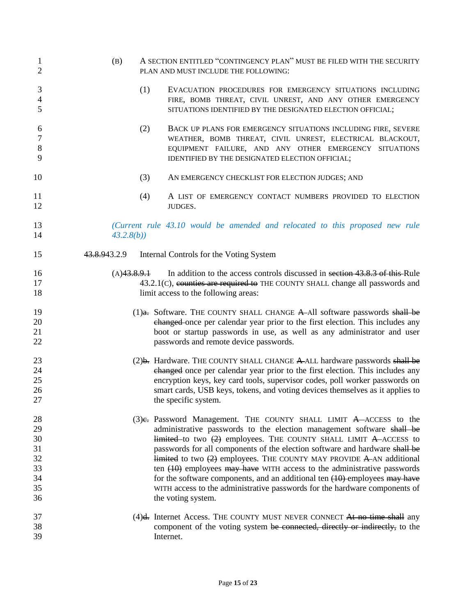| 1<br>$\overline{2}$                                | (B)                       | A SECTION ENTITLED "CONTINGENCY PLAN" MUST BE FILED WITH THE SECURITY<br>PLAN AND MUST INCLUDE THE FOLLOWING:                                                                                                                                                                                                                                                                                                                                                                                                                                                                                                                                   |  |
|----------------------------------------------------|---------------------------|-------------------------------------------------------------------------------------------------------------------------------------------------------------------------------------------------------------------------------------------------------------------------------------------------------------------------------------------------------------------------------------------------------------------------------------------------------------------------------------------------------------------------------------------------------------------------------------------------------------------------------------------------|--|
| 3<br>$\overline{4}$<br>5                           | (1)                       | EVACUATION PROCEDURES FOR EMERGENCY SITUATIONS INCLUDING<br>FIRE, BOMB THREAT, CIVIL UNREST, AND ANY OTHER EMERGENCY<br>SITUATIONS IDENTIFIED BY THE DESIGNATED ELECTION OFFICIAL;                                                                                                                                                                                                                                                                                                                                                                                                                                                              |  |
| 6<br>7<br>$\,8\,$<br>9                             | (2)                       | BACK UP PLANS FOR EMERGENCY SITUATIONS INCLUDING FIRE, SEVERE<br>WEATHER, BOMB THREAT, CIVIL UNREST, ELECTRICAL BLACKOUT,<br>EQUIPMENT FAILURE, AND ANY OTHER EMERGENCY SITUATIONS<br>IDENTIFIED BY THE DESIGNATED ELECTION OFFICIAL;                                                                                                                                                                                                                                                                                                                                                                                                           |  |
| 10                                                 | (3)                       | AN EMERGENCY CHECKLIST FOR ELECTION JUDGES; AND                                                                                                                                                                                                                                                                                                                                                                                                                                                                                                                                                                                                 |  |
| 11<br>12                                           | (4)                       | A LIST OF EMERGENCY CONTACT NUMBERS PROVIDED TO ELECTION<br>JUDGES.                                                                                                                                                                                                                                                                                                                                                                                                                                                                                                                                                                             |  |
| 13<br>14                                           | 43.2.8(b)                 | (Current rule 43.10 would be amended and relocated to this proposed new rule                                                                                                                                                                                                                                                                                                                                                                                                                                                                                                                                                                    |  |
| 15                                                 | 4 <del>3.8.9</del> 43.2.9 | Internal Controls for the Voting System                                                                                                                                                                                                                                                                                                                                                                                                                                                                                                                                                                                                         |  |
| 16<br>17<br>18                                     | (A)43.8.9.1               | In addition to the access controls discussed in section 43.8.3 of this Rule<br>43.2.1(C), counties are required to THE COUNTY SHALL change all passwords and<br>limit access to the following areas:                                                                                                                                                                                                                                                                                                                                                                                                                                            |  |
| 19<br>20<br>21<br>22                               |                           | $(1)$ a. Software. THE COUNTY SHALL CHANGE A-All software passwords shall be<br>changed once per calendar year prior to the first election. This includes any<br>boot or startup passwords in use, as well as any administrator and user<br>passwords and remote device passwords.                                                                                                                                                                                                                                                                                                                                                              |  |
| 23<br>24<br>25<br>26<br>27                         |                           | (2) <b>b.</b> Hardware. THE COUNTY SHALL CHANGE A ALL hardware passwords shall be<br>changed once per calendar year prior to the first election. This includes any<br>encryption keys, key card tools, supervisor codes, poll worker passwords on<br>smart cards, USB keys, tokens, and voting devices themselves as it applies to<br>the specific system.                                                                                                                                                                                                                                                                                      |  |
| 28<br>29<br>30<br>31<br>32<br>33<br>34<br>35<br>36 |                           | (3) e. Password Management. THE COUNTY SHALL LIMIT A ACCESS to the<br>administrative passwords to the election management software shall be<br>$Hinitial$ to two $(2)$ employees. THE COUNTY SHALL LIMIT A-ACCESS to<br>passwords for all components of the election software and hardware shall be<br>limited to two $(2)$ employees. THE COUNTY MAY PROVIDE A-AN additional<br>ten $(10)$ employees may have WITH access to the administrative passwords<br>for the software components, and an additional ten $(10)$ -employees may have<br>WITH access to the administrative passwords for the hardware components of<br>the voting system. |  |
| 37<br>38<br>39                                     |                           | (4) <del>d.</del> Internet Access. THE COUNTY MUST NEVER CONNECT At no time shall any<br>component of the voting system be connected, directly or indirectly, to the<br>Internet.                                                                                                                                                                                                                                                                                                                                                                                                                                                               |  |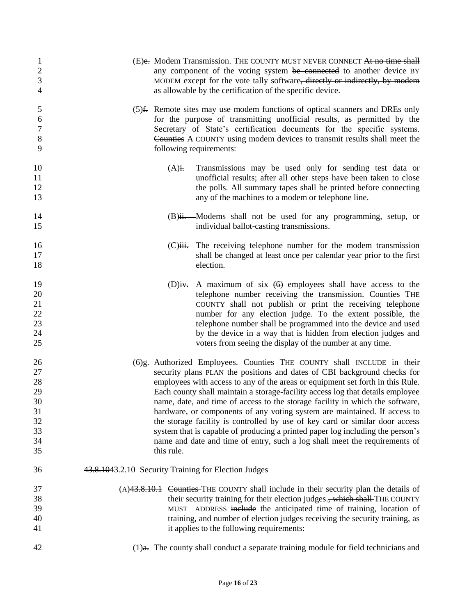| 1                                      | (E)e. Modem Transmission. THE COUNTY MUST NEVER CONNECT At no time shall                                                                                                                                                                                                                                                                                                                                                                                       |
|----------------------------------------|----------------------------------------------------------------------------------------------------------------------------------------------------------------------------------------------------------------------------------------------------------------------------------------------------------------------------------------------------------------------------------------------------------------------------------------------------------------|
| $\sqrt{2}$                             | any component of the voting system be connected to another device BY                                                                                                                                                                                                                                                                                                                                                                                           |
| $\overline{3}$                         | MODEM except for the vote tally software, directly or indirectly, by modem                                                                                                                                                                                                                                                                                                                                                                                     |
| $\overline{4}$                         | as allowable by the certification of the specific device.                                                                                                                                                                                                                                                                                                                                                                                                      |
| 5                                      | (5) f. Remote sites may use modem functions of optical scanners and DREs only                                                                                                                                                                                                                                                                                                                                                                                  |
| 6                                      | for the purpose of transmitting unofficial results, as permitted by the                                                                                                                                                                                                                                                                                                                                                                                        |
| $\boldsymbol{7}$                       | Secretary of State's certification documents for the specific systems.                                                                                                                                                                                                                                                                                                                                                                                         |
| $\,8\,$                                | Counties A COUNTY using modem devices to transmit results shall meet the                                                                                                                                                                                                                                                                                                                                                                                       |
| 9                                      | following requirements:                                                                                                                                                                                                                                                                                                                                                                                                                                        |
| 10<br>11<br>12<br>13                   | Transmissions may be used only for sending test data or<br>$(A)$ i.<br>unofficial results; after all other steps have been taken to close<br>the polls. All summary tapes shall be printed before connecting<br>any of the machines to a modem or telephone line.                                                                                                                                                                                              |
| 14                                     | (B)ii. Modems shall not be used for any programming, setup, or                                                                                                                                                                                                                                                                                                                                                                                                 |
| 15                                     | individual ballot-casting transmissions.                                                                                                                                                                                                                                                                                                                                                                                                                       |
| 16<br>17<br>18                         | The receiving telephone number for the modem transmission<br>$(C)$ <del>iii.</del><br>shall be changed at least once per calendar year prior to the first<br>election.                                                                                                                                                                                                                                                                                         |
| 19<br>20<br>21<br>22<br>23<br>24<br>25 | A maximum of six $(6)$ employees shall have access to the<br>$(D)$ iv.<br>telephone number receiving the transmission. Counties-THE<br>COUNTY shall not publish or print the receiving telephone<br>number for any election judge. To the extent possible, the<br>telephone number shall be programmed into the device and used<br>by the device in a way that is hidden from election judges and<br>voters from seeing the display of the number at any time. |
| 26                                     | (6)g. Authorized Employees. Counties-THE COUNTY shall INCLUDE in their                                                                                                                                                                                                                                                                                                                                                                                         |
| 27                                     | security plans PLAN the positions and dates of CBI background checks for                                                                                                                                                                                                                                                                                                                                                                                       |
| 28                                     | employees with access to any of the areas or equipment set forth in this Rule.                                                                                                                                                                                                                                                                                                                                                                                 |
| 29                                     | Each county shall maintain a storage-facility access log that details employee                                                                                                                                                                                                                                                                                                                                                                                 |
| 30                                     | name, date, and time of access to the storage facility in which the software,                                                                                                                                                                                                                                                                                                                                                                                  |
| 31                                     | hardware, or components of any voting system are maintained. If access to                                                                                                                                                                                                                                                                                                                                                                                      |
| 32                                     | the storage facility is controlled by use of key card or similar door access                                                                                                                                                                                                                                                                                                                                                                                   |
| 33                                     | system that is capable of producing a printed paper log including the person's                                                                                                                                                                                                                                                                                                                                                                                 |
| 34                                     | name and date and time of entry, such a log shall meet the requirements of                                                                                                                                                                                                                                                                                                                                                                                     |
| 35                                     | this rule.                                                                                                                                                                                                                                                                                                                                                                                                                                                     |
| 36                                     | 43.8.1043.2.10 Security Training for Election Judges                                                                                                                                                                                                                                                                                                                                                                                                           |
| 37                                     | (A)43.8.10.1 Counties–THE COUNTY shall include in their security plan the details of                                                                                                                                                                                                                                                                                                                                                                           |
| 38                                     | their security training for their election judges., which shall-THE COUNTY                                                                                                                                                                                                                                                                                                                                                                                     |
| 39                                     | MUST ADDRESS include the anticipated time of training, location of                                                                                                                                                                                                                                                                                                                                                                                             |
| 40                                     | training, and number of election judges receiving the security training, as                                                                                                                                                                                                                                                                                                                                                                                    |
| 41                                     | it applies to the following requirements:                                                                                                                                                                                                                                                                                                                                                                                                                      |
| 42                                     | $(1)$ a. The county shall conduct a separate training module for field technicians and                                                                                                                                                                                                                                                                                                                                                                         |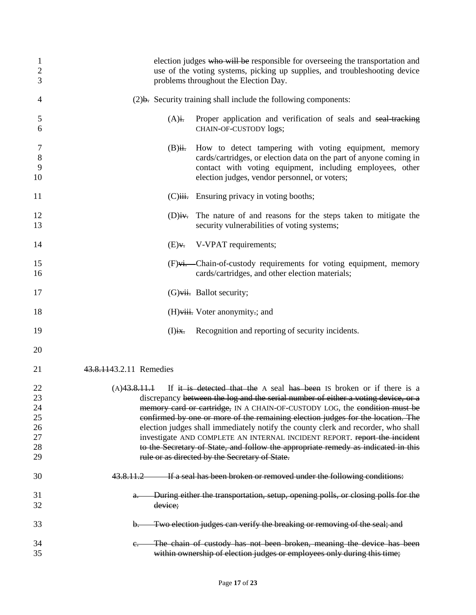| $\mathbf{1}$<br>2<br>3 | election judges who will be responsible for overseeing the transportation and<br>use of the voting systems, picking up supplies, and troubleshooting device<br>problems throughout the Election Day.                                                   |
|------------------------|--------------------------------------------------------------------------------------------------------------------------------------------------------------------------------------------------------------------------------------------------------|
| 4                      | $(2)$ b. Security training shall include the following components:                                                                                                                                                                                     |
| 5<br>6                 | $(A)$ i.<br>Proper application and verification of seals and seal-tracking<br>CHAIN-OF-CUSTODY logs;                                                                                                                                                   |
| 7<br>8<br>9<br>10      | How to detect tampering with voting equipment, memory<br>$(B)$ ii.<br>cards/cartridges, or election data on the part of anyone coming in<br>contact with voting equipment, including employees, other<br>election judges, vendor personnel, or voters; |
| 11                     | (C)iii. Ensuring privacy in voting booths;                                                                                                                                                                                                             |
| 12<br>13               | The nature of and reasons for the steps taken to mitigate the<br>$(D)$ iv.<br>security vulnerabilities of voting systems;                                                                                                                              |
| 14                     | V-VPAT requirements;<br>$(E)$ v.                                                                                                                                                                                                                       |
| 15<br>16               | (F)vi. Chain-of-custody requirements for voting equipment, memory<br>cards/cartridges, and other election materials;                                                                                                                                   |
| 17                     | $(G)$ vii. Ballot security;                                                                                                                                                                                                                            |
| 18                     | (H)viii. Voter anonymity :; and                                                                                                                                                                                                                        |
| 19                     | Recognition and reporting of security incidents.<br>$(I)$ ix.                                                                                                                                                                                          |
| 20                     |                                                                                                                                                                                                                                                        |
| 21                     | 43.8.1143.2.11 Remedies                                                                                                                                                                                                                                |
| 22<br>23               | (A)43.8.11.1<br>If it is detected that the A seal has been IS broken or if there is a<br>discrepancy between the log and the serial number of either a voting device, or a                                                                             |
| 24                     | memory card or cartridge, IN A CHAIN-OF-CUSTODY LOG, the condition must be                                                                                                                                                                             |
| 25                     | confirmed by one or more of the remaining election judges for the location. The                                                                                                                                                                        |
| 26                     | election judges shall immediately notify the county clerk and recorder, who shall                                                                                                                                                                      |
| 27                     | investigate AND COMPLETE AN INTERNAL INCIDENT REPORT. report the incident                                                                                                                                                                              |
| 28                     | to the Secretary of State, and follow the appropriate remedy as indicated in this                                                                                                                                                                      |
| 29                     | rule or as directed by the Secretary of State.                                                                                                                                                                                                         |
| 30                     | If a seal has been broken or removed under the following conditions:<br>43.8.11.2                                                                                                                                                                      |
| 31                     | During either the transportation, setup, opening polls, or closing polls for the<br>$a_{\tau}$                                                                                                                                                         |
| 32                     | device;                                                                                                                                                                                                                                                |
| 33                     | Two election judges can verify the breaking or removing of the seal; and<br>b.                                                                                                                                                                         |
| 34                     | The chain of custody has not been broken, meaning the device has been<br>e.                                                                                                                                                                            |
| 35                     | within ownership of election judges or employees only during this time;                                                                                                                                                                                |
|                        |                                                                                                                                                                                                                                                        |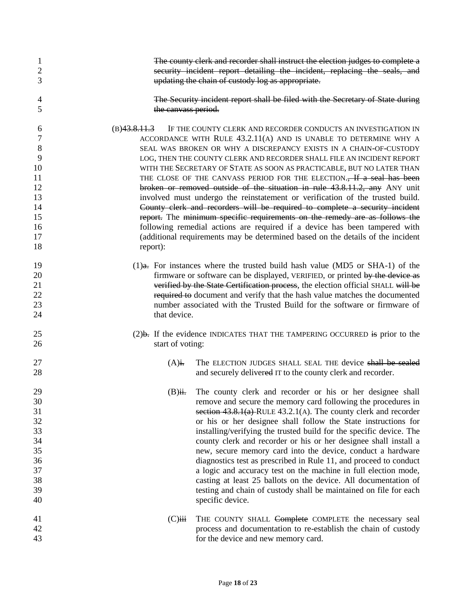| 1<br>2<br>3 |                      | The county clerk and recorder shall instruct the election judges to complete a<br>security incident report detailing the incident, replacing the seals, and<br>updating the chain of custody log as appropriate. |  |  |
|-------------|----------------------|------------------------------------------------------------------------------------------------------------------------------------------------------------------------------------------------------------------|--|--|
| 4<br>5      | the canvass period.  | The Security incident report shall be filed with the Secretary of State during                                                                                                                                   |  |  |
| 6<br>7      | (B)43.8.11.3         | IF THE COUNTY CLERK AND RECORDER CONDUCTS AN INVESTIGATION IN<br>ACCORDANCE WITH RULE 43.2.11(A) AND IS UNABLE TO DETERMINE WHY A                                                                                |  |  |
| 8           |                      | SEAL WAS BROKEN OR WHY A DISCREPANCY EXISTS IN A CHAIN-OF-CUSTODY                                                                                                                                                |  |  |
| 9           |                      | LOG, THEN THE COUNTY CLERK AND RECORDER SHALL FILE AN INCIDENT REPORT                                                                                                                                            |  |  |
| 10          |                      | WITH THE SECRETARY OF STATE AS SOON AS PRACTICABLE, BUT NO LATER THAN                                                                                                                                            |  |  |
| 11          |                      | THE CLOSE OF THE CANVASS PERIOD FOR THE ELECTION., If a seal has been                                                                                                                                            |  |  |
| 12          |                      | broken or removed outside of the situation in rule 43.8.11.2, any ANY unit                                                                                                                                       |  |  |
| 13          |                      | involved must undergo the reinstatement or verification of the trusted build.                                                                                                                                    |  |  |
| 14          |                      | County clerk and recorders will be required to complete a security incident                                                                                                                                      |  |  |
| 15          |                      | report. The minimum specific requirements on the remedy are as follows the                                                                                                                                       |  |  |
| 16          |                      | following remedial actions are required if a device has been tampered with                                                                                                                                       |  |  |
| 17          |                      | (additional requirements may be determined based on the details of the incident                                                                                                                                  |  |  |
| 18          | report):             |                                                                                                                                                                                                                  |  |  |
| 19          |                      | $(1)$ <del>a.</del> For instances where the trusted build hash value (MD5 or SHA-1) of the                                                                                                                       |  |  |
| 20          |                      | firmware or software can be displayed, VERIFIED, or printed by the device as                                                                                                                                     |  |  |
| 21          |                      | verified by the State Certification process, the election official SHALL will be                                                                                                                                 |  |  |
| 22          |                      | required to document and verify that the hash value matches the documented                                                                                                                                       |  |  |
| 23          |                      | number associated with the Trusted Build for the software or firmware of                                                                                                                                         |  |  |
| 24          | that device.         |                                                                                                                                                                                                                  |  |  |
| 25          |                      | $(2)$ b. If the evidence INDICATES THAT THE TAMPERING OCCURRED is prior to the                                                                                                                                   |  |  |
| 26          | start of voting:     |                                                                                                                                                                                                                  |  |  |
| 27          | $(A)$ i.             | The ELECTION JUDGES SHALL SEAL THE device shall be sealed                                                                                                                                                        |  |  |
| 28          |                      | and securely delivered IT to the county clerk and recorder.                                                                                                                                                      |  |  |
| 29          | $(B)$ ii.            | The county clerk and recorder or his or her designee shall                                                                                                                                                       |  |  |
| 30          |                      | remove and secure the memory card following the procedures in                                                                                                                                                    |  |  |
| 31          |                      | section $43.8.1(a)$ -RULE $43.2.1(A)$ . The county clerk and recorder                                                                                                                                            |  |  |
| 32          |                      | or his or her designee shall follow the State instructions for                                                                                                                                                   |  |  |
| 33          |                      | installing/verifying the trusted build for the specific device. The                                                                                                                                              |  |  |
| 34          |                      | county clerk and recorder or his or her designee shall install a                                                                                                                                                 |  |  |
| 35          |                      | new, secure memory card into the device, conduct a hardware                                                                                                                                                      |  |  |
| 36          |                      | diagnostics test as prescribed in Rule 11, and proceed to conduct                                                                                                                                                |  |  |
| 37          |                      | a logic and accuracy test on the machine in full election mode,                                                                                                                                                  |  |  |
| 38          |                      | casting at least 25 ballots on the device. All documentation of                                                                                                                                                  |  |  |
| 39          |                      | testing and chain of custody shall be maintained on file for each                                                                                                                                                |  |  |
| 40          |                      | specific device.                                                                                                                                                                                                 |  |  |
| 41          | $(C)$ <del>iii</del> | THE COUNTY SHALL Complete COMPLETE the necessary seal                                                                                                                                                            |  |  |
| 42          |                      | process and documentation to re-establish the chain of custody                                                                                                                                                   |  |  |
| 43          |                      | for the device and new memory card.                                                                                                                                                                              |  |  |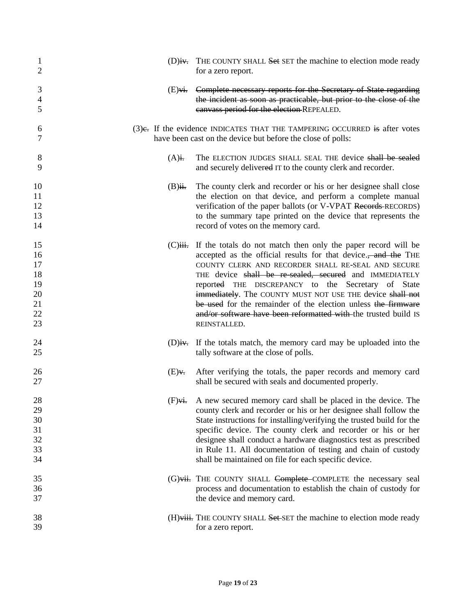| $\mathbf{1}$                           | (D)iv. THE COUNTY SHALL Set SET the machine to election mode ready                                                                                                                                                                                                                                                                                                                                                                                                                    |
|----------------------------------------|---------------------------------------------------------------------------------------------------------------------------------------------------------------------------------------------------------------------------------------------------------------------------------------------------------------------------------------------------------------------------------------------------------------------------------------------------------------------------------------|
| $\overline{2}$                         | for a zero report.                                                                                                                                                                                                                                                                                                                                                                                                                                                                    |
| 3                                      | (E) <del>vi.</del> Complete necessary reports for the Secretary of State regarding                                                                                                                                                                                                                                                                                                                                                                                                    |
| $\overline{4}$                         | the incident as soon as practicable, but prior to the close of the                                                                                                                                                                                                                                                                                                                                                                                                                    |
| 5                                      | canvass period for the election-REPEALED.                                                                                                                                                                                                                                                                                                                                                                                                                                             |
| 6                                      | $(3)$ e. If the evidence INDICATES THAT THE TAMPERING OCCURRED is after votes                                                                                                                                                                                                                                                                                                                                                                                                         |
| 7                                      | have been cast on the device but before the close of polls:                                                                                                                                                                                                                                                                                                                                                                                                                           |
| 8<br>9                                 | The ELECTION JUDGES SHALL SEAL THE device shall be sealed<br>$(A)$ i.<br>and securely delivered IT to the county clerk and recorder.                                                                                                                                                                                                                                                                                                                                                  |
| 10<br>11<br>12<br>13<br>14             | The county clerk and recorder or his or her designee shall close<br>$(B)$ ii.<br>the election on that device, and perform a complete manual<br>verification of the paper ballots (or V-VPAT Records-RECORDS)<br>to the summary tape printed on the device that represents the<br>record of votes on the memory card.                                                                                                                                                                  |
| 15                                     | $(C)$ iii. If the totals do not match then only the paper record will be                                                                                                                                                                                                                                                                                                                                                                                                              |
| 16                                     | accepted as the official results for that device., and the THE                                                                                                                                                                                                                                                                                                                                                                                                                        |
| 17                                     | COUNTY CLERK AND RECORDER SHALL RE-SEAL AND SECURE                                                                                                                                                                                                                                                                                                                                                                                                                                    |
| 18                                     | THE device shall be re-sealed, secured and IMMEDIATELY                                                                                                                                                                                                                                                                                                                                                                                                                                |
| 19                                     | reported THE DISCREPANCY to the Secretary of State                                                                                                                                                                                                                                                                                                                                                                                                                                    |
| 20                                     | immediately. The COUNTY MUST NOT USE THE device shall not                                                                                                                                                                                                                                                                                                                                                                                                                             |
| 21                                     | be used for the remainder of the election unless the firmware                                                                                                                                                                                                                                                                                                                                                                                                                         |
| 22                                     | and/or software have been reformatted with the trusted build IS                                                                                                                                                                                                                                                                                                                                                                                                                       |
| 23                                     | REINSTALLED.                                                                                                                                                                                                                                                                                                                                                                                                                                                                          |
| 24                                     | $(D)$ iv. If the totals match, the memory card may be uploaded into the                                                                                                                                                                                                                                                                                                                                                                                                               |
| 25                                     | tally software at the close of polls.                                                                                                                                                                                                                                                                                                                                                                                                                                                 |
| 26<br>27                               | After verifying the totals, the paper records and memory card<br>$(E)$ v.<br>shall be secured with seals and documented properly.                                                                                                                                                                                                                                                                                                                                                     |
| 28<br>29<br>30<br>31<br>32<br>33<br>34 | A new secured memory card shall be placed in the device. The<br>$(F)$ vi.<br>county clerk and recorder or his or her designee shall follow the<br>State instructions for installing/verifying the trusted build for the<br>specific device. The county clerk and recorder or his or her<br>designee shall conduct a hardware diagnostics test as prescribed<br>in Rule 11. All documentation of testing and chain of custody<br>shall be maintained on file for each specific device. |
| 35                                     | (G)vii. THE COUNTY SHALL Complete COMPLETE the necessary seal                                                                                                                                                                                                                                                                                                                                                                                                                         |
| 36                                     | process and documentation to establish the chain of custody for                                                                                                                                                                                                                                                                                                                                                                                                                       |
| 37                                     | the device and memory card.                                                                                                                                                                                                                                                                                                                                                                                                                                                           |
| 38                                     | (H) viii. THE COUNTY SHALL Set SET the machine to election mode ready                                                                                                                                                                                                                                                                                                                                                                                                                 |
| 39                                     | for a zero report.                                                                                                                                                                                                                                                                                                                                                                                                                                                                    |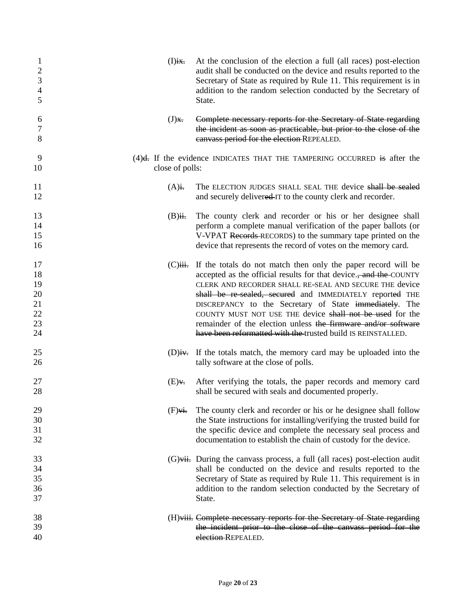| 1<br>$\overline{2}$<br>$\mathfrak{Z}$<br>4<br>5 | $(I)$ ix.           | At the conclusion of the election a full (all races) post-election<br>audit shall be conducted on the device and results reported to the<br>Secretary of State as required by Rule 11. This requirement is in<br>addition to the random selection conducted by the Secretary of<br>State.                                                                                                                                                                                                                                |
|-------------------------------------------------|---------------------|--------------------------------------------------------------------------------------------------------------------------------------------------------------------------------------------------------------------------------------------------------------------------------------------------------------------------------------------------------------------------------------------------------------------------------------------------------------------------------------------------------------------------|
| 6<br>7<br>8                                     | $(J)$ <del>x.</del> | Complete necessary reports for the Secretary of State regarding<br>the incident as soon as practicable, but prior to the close of the<br>canvass period for the election-REPEALED.                                                                                                                                                                                                                                                                                                                                       |
| 9<br>10                                         | close of polls:     | $(4)$ <del>d.</del> If the evidence INDICATES THAT THE TAMPERING OCCURRED is after the                                                                                                                                                                                                                                                                                                                                                                                                                                   |
| 11<br>12                                        | $(A)$ i.            | The ELECTION JUDGES SHALL SEAL THE device shall be sealed<br>and securely delivered IT to the county clerk and recorder.                                                                                                                                                                                                                                                                                                                                                                                                 |
| 13<br>14<br>15<br>16                            | $(B)$ ii.           | The county clerk and recorder or his or her designee shall<br>perform a complete manual verification of the paper ballots (or<br>V-VPAT Records-RECORDS) to the summary tape printed on the<br>device that represents the record of votes on the memory card.                                                                                                                                                                                                                                                            |
| 17<br>18<br>19<br>20<br>21<br>22<br>23<br>24    |                     | (C) iii. If the totals do not match then only the paper record will be<br>accepted as the official results for that device., and the COUNTY<br>CLERK AND RECORDER SHALL RE-SEAL AND SECURE THE device<br>shall be re-sealed, secured and IMMEDIATELY reported THE<br>DISCREPANCY to the Secretary of State immediately. The<br>COUNTY MUST NOT USE THE device shall not be used for the<br>remainder of the election unless the firmware and/or software<br>have been reformatted with the trusted build IS REINSTALLED. |
| 25<br>26                                        |                     | (D)iv. If the totals match, the memory card may be uploaded into the<br>tally software at the close of polls.                                                                                                                                                                                                                                                                                                                                                                                                            |
| 27<br>28                                        | $(E)$ v.            | After verifying the totals, the paper records and memory card<br>shall be secured with seals and documented properly.                                                                                                                                                                                                                                                                                                                                                                                                    |
| 29<br>30<br>31<br>32                            | $(F)$ vi.           | The county clerk and recorder or his or he designee shall follow<br>the State instructions for installing/verifying the trusted build for<br>the specific device and complete the necessary seal process and<br>documentation to establish the chain of custody for the device.                                                                                                                                                                                                                                          |
| 33<br>34<br>35<br>36<br>37                      |                     | $(G)$ vii. During the canvass process, a full (all races) post-election audit<br>shall be conducted on the device and results reported to the<br>Secretary of State as required by Rule 11. This requirement is in<br>addition to the random selection conducted by the Secretary of<br>State.                                                                                                                                                                                                                           |
| 38<br>39<br>40                                  |                     | (H)viii. Complete necessary reports for the Secretary of State regarding<br>the incident prior to the close of the canvass period for the<br>election-REPEALED.                                                                                                                                                                                                                                                                                                                                                          |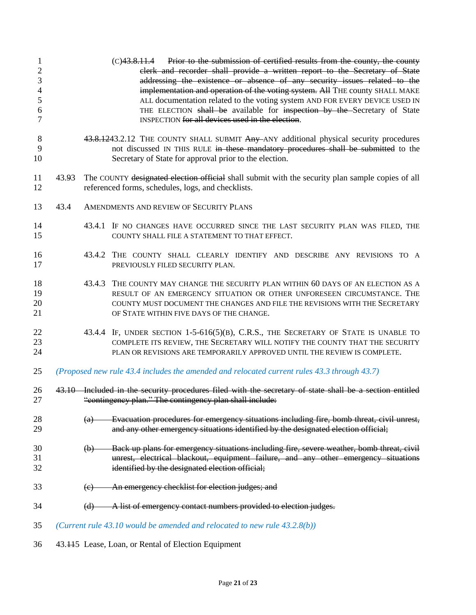| 1<br>$\sqrt{2}$<br>$\ensuremath{\mathfrak{Z}}$<br>$\overline{\mathcal{A}}$<br>5<br>6<br>$\overline{7}$ |       |                   | Prior to the submission of certified results from the county, the county<br>(C) 43.8.11.4<br>clerk and recorder shall provide a written report to the Secretary of State<br>addressing the existence or absence of any security issues related to the<br>implementation and operation of the voting system. All THE county SHALL MAKE<br>ALL documentation related to the voting system AND FOR EVERY DEVICE USED IN<br>THE ELECTION shall be available for inspection by the Secretary of State<br>INSPECTION for all devices used in the election. |
|--------------------------------------------------------------------------------------------------------|-------|-------------------|------------------------------------------------------------------------------------------------------------------------------------------------------------------------------------------------------------------------------------------------------------------------------------------------------------------------------------------------------------------------------------------------------------------------------------------------------------------------------------------------------------------------------------------------------|
| 8<br>9<br>10                                                                                           |       |                   | 43.8.1243.2.12 THE COUNTY SHALL SUBMIT Any ANY additional physical security procedures<br>not discussed IN THIS RULE in these mandatory procedures shall be submitted to the<br>Secretary of State for approval prior to the election.                                                                                                                                                                                                                                                                                                               |
| 11<br>12                                                                                               | 43.93 |                   | The COUNTY designated election official shall submit with the security plan sample copies of all<br>referenced forms, schedules, logs, and checklists.                                                                                                                                                                                                                                                                                                                                                                                               |
| 13                                                                                                     | 43.4  |                   | AMENDMENTS AND REVIEW OF SECURITY PLANS                                                                                                                                                                                                                                                                                                                                                                                                                                                                                                              |
| 14<br>15                                                                                               |       |                   | 43.4.1 IF NO CHANGES HAVE OCCURRED SINCE THE LAST SECURITY PLAN WAS FILED, THE<br>COUNTY SHALL FILE A STATEMENT TO THAT EFFECT.                                                                                                                                                                                                                                                                                                                                                                                                                      |
| 16<br>17                                                                                               |       |                   | 43.4.2 THE COUNTY SHALL CLEARLY IDENTIFY AND DESCRIBE ANY REVISIONS TO A<br>PREVIOUSLY FILED SECURITY PLAN.                                                                                                                                                                                                                                                                                                                                                                                                                                          |
| 18<br>19<br>20<br>21                                                                                   |       |                   | 43.4.3 THE COUNTY MAY CHANGE THE SECURITY PLAN WITHIN 60 DAYS OF AN ELECTION AS A<br>RESULT OF AN EMERGENCY SITUATION OR OTHER UNFORESEEN CIRCUMSTANCE. THE<br>COUNTY MUST DOCUMENT THE CHANGES AND FILE THE REVISIONS WITH THE SECRETARY<br>OF STATE WITHIN FIVE DAYS OF THE CHANGE.                                                                                                                                                                                                                                                                |
| 22<br>23<br>24                                                                                         |       |                   | 43.4.4 IF, UNDER SECTION 1-5-616(5)(B), C.R.S., THE SECRETARY OF STATE IS UNABLE TO<br>COMPLETE ITS REVIEW, THE SECRETARY WILL NOTIFY THE COUNTY THAT THE SECURITY<br>PLAN OR REVISIONS ARE TEMPORARILY APPROVED UNTIL THE REVIEW IS COMPLETE.                                                                                                                                                                                                                                                                                                       |
| 25                                                                                                     |       |                   | (Proposed new rule 43.4 includes the amended and relocated current rules 43.3 through 43.7)                                                                                                                                                                                                                                                                                                                                                                                                                                                          |
| 26<br>27                                                                                               |       |                   | 43.10 Included in the security procedures filed with the secretary of state shall be a section entitled<br>"contingency plan." The contingency plan shall include:                                                                                                                                                                                                                                                                                                                                                                                   |
| 28<br>29                                                                                               |       | $\left( a\right)$ | Evacuation procedures for emergency situations including fire, bomb threat, civil unrest,<br>and any other emergency situations identified by the designated election official;                                                                                                                                                                                                                                                                                                                                                                      |
| 30<br>31<br>32                                                                                         |       | (b)               | Back up plans for emergency situations including fire, severe weather, bomb threat, civil<br>unrest, electrical blackout, equipment failure, and any other emergency situations<br>identified by the designated election official;                                                                                                                                                                                                                                                                                                                   |
| 33                                                                                                     |       | (e)               | An emergency checklist for election judges; and                                                                                                                                                                                                                                                                                                                                                                                                                                                                                                      |
| 34                                                                                                     |       | (d)               | A list of emergency contact numbers provided to election judges.                                                                                                                                                                                                                                                                                                                                                                                                                                                                                     |
| 35                                                                                                     |       |                   | (Current rule $43.10$ would be amended and relocated to new rule $43.2.8(b)$ )                                                                                                                                                                                                                                                                                                                                                                                                                                                                       |
| 36                                                                                                     |       |                   | 43.115 Lease, Loan, or Rental of Election Equipment                                                                                                                                                                                                                                                                                                                                                                                                                                                                                                  |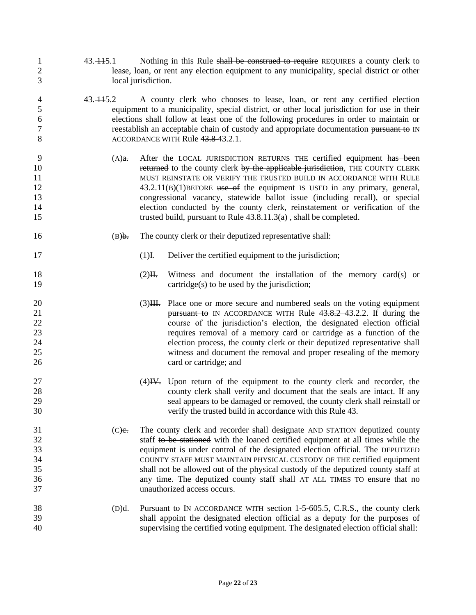- 1 43. 145.1 Nothing in this Rule shall be construed to require REQUIRES a county clerk to lease, loan, or rent any election equipment to any municipality, special district or other local jurisdiction.
- 43. 115.2 A county clerk who chooses to lease, loan, or rent any certified election equipment to a municipality, special district, or other local jurisdiction for use in their elections shall follow at least one of the following procedures in order to maintain or 7 reestablish an acceptable chain of custody and appropriate documentation pursuant to IN 8 ACCORDANCE WITH Rule 43.8-43.2.1.
- (A)a. After the LOCAL JURISDICTION RETURNS THE certified equipment has been **returned** to the county clerk by the applicable jurisdiction, THE COUNTY CLERK MUST REINSTATE OR VERIFY THE TRUSTED BUILD IN ACCORDANCE WITH RULE 12 43.2.11(B)(1)BEFORE use of the equipment IS USED in any primary, general, congressional vacancy, statewide ballot issue (including recall), or special 14 election conducted by the county clerk<del>, reinstatement or verification of the</del> 15 trusted build, pursuant to Rule 43.8.11.3(a), shall be completed.
- (B)b. The county clerk or their deputized representative shall:
- 17 (1)<sub>I</sub>. Deliver the certified equipment to the jurisdiction;
- 18 (2)<sup>II</sup>. Witness and document the installation of the memory card(s) or 19 cartridge(s) to be used by the jurisdiction;
- 20 (3)<del>III.</del> Place one or more secure and numbered seals on the voting equipment **pursuant to** IN ACCORDANCE WITH Rule 43.8.2.43.2.2. If during the course of the jurisdiction's election, the designated election official requires removal of a memory card or cartridge as a function of the election process, the county clerk or their deputized representative shall witness and document the removal and proper resealing of the memory 26 card or cartridge; and
- 27 (4)<del>IV.</del> Upon return of the equipment to the county clerk and recorder, the county clerk shall verify and document that the seals are intact. If any seal appears to be damaged or removed, the county clerk shall reinstall or verify the trusted build in accordance with this Rule 43.
- 31 (C)e. The county clerk and recorder shall designate AND STATION deputized county staff to be stationed with the loaned certified equipment at all times while the equipment is under control of the designated election official. The DEPUTIZED COUNTY STAFF MUST MAINTAIN PHYSICAL CUSTODY OF THE certified equipment shall not be allowed out of the physical custody of the deputized county staff at **36 any time. The deputized county staff shall** AT ALL TIMES TO ensure that no unauthorized access occurs.
- (D)d. Pursuant to IN ACCORDANCE WITH section 1-5-605.5, C.R.S., the county clerk shall appoint the designated election official as a deputy for the purposes of supervising the certified voting equipment. The designated election official shall: